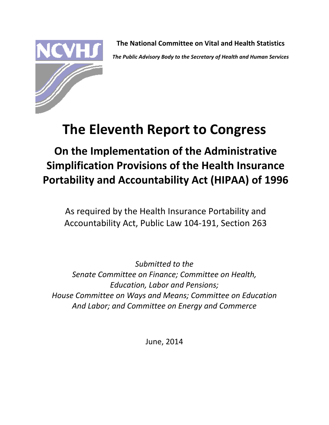

**The National Committee on Vital and Health Statistics** *The Public Advisory Body to the Secretary of Health and Human Services*

# **The Eleventh Report to Congress**

**On the Implementation of the Administrative Simplification Provisions of the Health Insurance Portability and Accountability Act (HIPAA) of 1996**

As required by the Health Insurance Portability and Accountability Act, Public Law 104‐191, Section 263

*Submitted to the Senate Committee on Finance; Committee on Health, Education, Labor and Pensions; House Committee on Ways and Means; Committee on Education And Labor; and Committee on Energy and Commerce*

June, 2014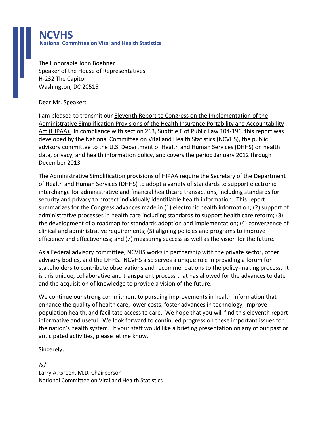## **NCVHS National Committee on Vital and Health Statistics**

The Honorable John Boehner Speaker of the House of Representatives H‐232 The Capitol Washington, DC 20515

Dear Mr. Speaker:

I am pleased to transmit our Eleventh Report to Congress on the Implementation of the Administrative Simplification Provisions of the Health Insurance Portability and Accountability Act (HIPAA). In compliance with section 263, Subtitle F of Public Law 104‐191, this report was developed by the National Committee on Vital and Health Statistics (NCVHS), the public advisory committee to the U.S. Department of Health and Human Services (DHHS) on health data, privacy, and health information policy, and covers the period January 2012 through December 2013.

The Administrative Simplification provisions of HIPAA require the Secretary of the Department of Health and Human Services (DHHS) to adopt a variety of standards to support electronic interchange for administrative and financial healthcare transactions, including standards for security and privacy to protect individually identifiable health information. This report summarizes for the Congress advances made in (1) electronic health information; (2) support of administrative processes in health care including standards to support health care reform; (3) the development of a roadmap for standards adoption and implementation; (4) convergence of clinical and administrative requirements; (5) aligning policies and programs to improve efficiency and effectiveness; and (7) measuring success as well as the vision for the future.

As a Federal advisory committee, NCVHS works in partnership with the private sector, other advisory bodies, and the DHHS. NCVHS also serves a unique role in providing a forum for stakeholders to contribute observations and recommendations to the policy‐making process. It is this unique, collaborative and transparent process that has allowed for the advances to date and the acquisition of knowledge to provide a vision of the future.

We continue our strong commitment to pursuing improvements in health information that enhance the quality of health care, lower costs, foster advances in technology, improve population health, and facilitate access to care. We hope that you will find this eleventh report informative and useful. We look forward to continued progress on these important issues for the nation's health system. If your staff would like a briefing presentation on any of our past or anticipated activities, please let me know.

Sincerely,

/s/ Larry A. Green, M.D. Chairperson National Committee on Vital and Health Statistics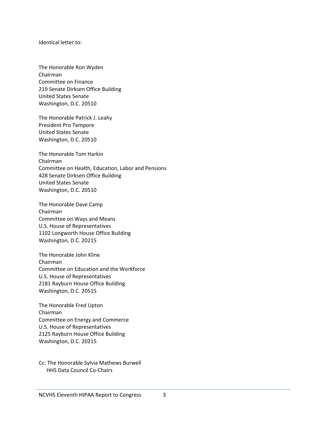Identical letter to:

The Honorable Ron Wyden Chairman Committee on Finance 219 Senate Dirksen Office Building United States Senate Washington, D.C. 20510

The Honorable Patrick J. Leahy President Pro Tempore United States Senate Washington, D.C. 20510

The Honorable Tom Harkin Chairman Committee on Health, Education, Labor and Pensions 428 Senate Dirksen Office Building United States Senate Washington, D.C. 20510

The Honorable Dave Camp Chairman Committee on Ways and Means U.S. House of Representatives 1102 Longworth House Office Building Washington, D.C. 20215

The Honorable John Kline Chairman Committee on Education and the Workforce U.S. House of Representatives 2181 Rayburn House Office Building Washington, D.C. 20515

The Honorable Fred Upton Chairman Committee on Energy and Commerce U.S. House of Representatives 2125 Rayburn House Office Building Washington, D.C. 20215

Cc: The Honorable Sylvia Mathews Burwell HHS Data Council Co‐Chairs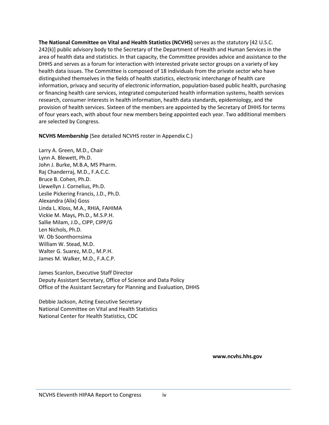**The National Committee on Vital and Health Statistics (NCVHS)** serves as the statutory [42 U.S.C. 242(k)] public advisory body to the Secretary of the Department of Health and Human Services in the area of health data and statistics. In that capacity, the Committee provides advice and assistance to the DHHS and serves as a forum for interaction with interested private sector groups on a variety of key health data issues. The Committee is composed of 18 individuals from the private sector who have distinguished themselves in the fields of health statistics, electronic interchange of health care information, privacy and security of electronic information, population‐based public health, purchasing or financing health care services, integrated computerized health information systems, health services research, consumer interests in health information, health data standards, epidemiology, and the provision of health services. Sixteen of the members are appointed by the Secretary of DHHS for terms of four years each, with about four new members being appointed each year. Two additional members are selected by Congress.

**NCVHS Membership** (See detailed NCVHS roster in Appendix C.)

Larry A. Green, M.D., Chair Lynn A. Blewett, Ph.D. John J. Burke, M.B.A, MS Pharm. Raj Chanderraj, M.D., F.A.C.C. Bruce B. Cohen, Ph.D. Llewellyn J. Cornelius, Ph.D. Leslie Pickering Francis, J.D., Ph.D. Alexandra (Alix) Goss Linda L. Kloss, M.A., RHIA, FAHIMA Vickie M. Mays, Ph.D., M.S.P.H. Sallie Milam, J.D., CIPP, CIPP/G Len Nichols, Ph.D. W. Ob Soonthornsima William W. Stead, M.D. Walter G. Suarez, M.D., M.P.H. James M. Walker, M.D., F.A.C.P.

James Scanlon, Executive Staff Director Deputy Assistant Secretary, Office of Science and Data Policy Office of the Assistant Secretary for Planning and Evaluation, DHHS

Debbie Jackson, Acting Executive Secretary National Committee on Vital and Health Statistics National Center for Health Statistics, CDC

**www.ncvhs.hhs.gov**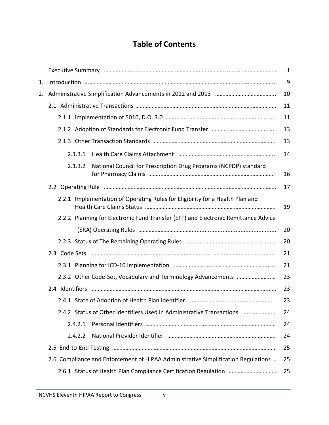# **Table of Contents**

|    |                                                                                    | $\mathbf{1}$ |
|----|------------------------------------------------------------------------------------|--------------|
| 1. |                                                                                    | 9            |
| 2. |                                                                                    | 10           |
|    |                                                                                    | 11           |
|    |                                                                                    | 11           |
|    |                                                                                    | 13           |
|    |                                                                                    | 13           |
|    | 2.1.3.1                                                                            | 14           |
|    | National Council for Prescription Drug Programs (NCPDP) standard<br>2.1.3.2        | 16           |
|    |                                                                                    | 17           |
|    | 2.2.1 Implementation of Operating Rules for Eligibility for a Health Plan and      | 19           |
|    | 2.2.2 Planning for Electronic Fund Transfer (EFT) and Electronic Remittance Advice |              |
|    |                                                                                    | 20           |
|    |                                                                                    | 20           |
|    | 2.3 Code Sets                                                                      | 21           |
|    |                                                                                    | 21           |
|    | 2.3.2 Other Code-Set, Vocabulary and Terminology Advancements                      | 23           |
|    |                                                                                    | 23           |
|    |                                                                                    | 23           |
|    | 2.4.2 Status of Other Identifiers Used in Administrative Transactions              | 24           |
|    | 2.4.2.1                                                                            | 24           |
|    | 2.4.2.2                                                                            | 24           |
|    |                                                                                    | 25           |
|    | 2.6 Compliance and Enforcement of HIPAA Administrative Simplification Regulations  | 25           |
|    |                                                                                    | 25           |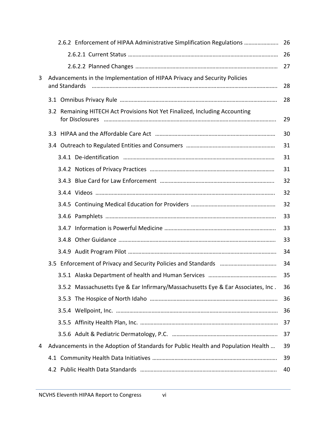|   | 2.6.2 Enforcement of HIPAA Administrative Simplification Regulations  26                   |    |
|---|--------------------------------------------------------------------------------------------|----|
|   |                                                                                            | 26 |
|   |                                                                                            | 27 |
| 3 | Advancements in the Implementation of HIPAA Privacy and Security Policies<br>and Standards | 28 |
|   |                                                                                            | 28 |
|   | 3.2 Remaining HITECH Act Provisions Not Yet Finalized, Including Accounting                | 29 |
|   |                                                                                            | 30 |
|   |                                                                                            | 31 |
|   |                                                                                            | 31 |
|   |                                                                                            | 31 |
|   |                                                                                            | 32 |
|   |                                                                                            | 32 |
|   |                                                                                            | 32 |
|   |                                                                                            | 33 |
|   |                                                                                            | 33 |
|   |                                                                                            | 33 |
|   |                                                                                            | 34 |
|   |                                                                                            | 34 |
|   |                                                                                            | 35 |
|   | 3.5.2 Massachusetts Eye & Ear Infirmary/Massachusetts Eye & Ear Associates, Inc.           | 36 |
|   |                                                                                            | 36 |
|   |                                                                                            | 36 |
|   |                                                                                            | 37 |
|   |                                                                                            | 37 |
| 4 | Advancements in the Adoption of Standards for Public Health and Population Health          | 39 |
|   |                                                                                            | 39 |
|   |                                                                                            | 40 |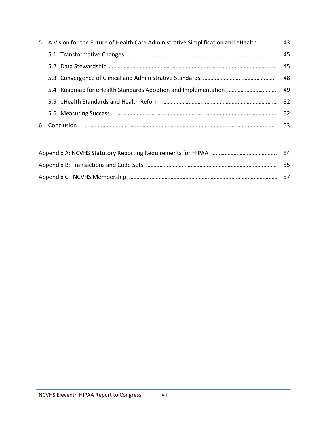|   | 5 A Vision for the Future of Health Care Administrative Simplification and eHealth  43 |    |
|---|----------------------------------------------------------------------------------------|----|
|   |                                                                                        | 45 |
|   |                                                                                        | 45 |
|   |                                                                                        |    |
|   |                                                                                        |    |
|   |                                                                                        | 52 |
|   |                                                                                        | 52 |
| 6 |                                                                                        |    |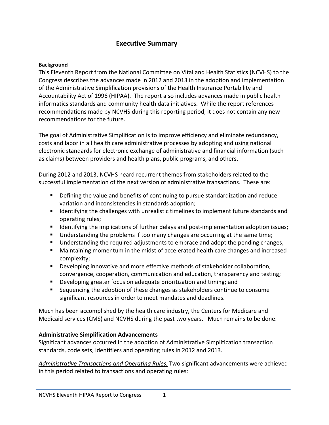#### **Executive Summary**

#### **Background**

This Eleventh Report from the National Committee on Vital and Health Statistics (NCVHS) to the Congress describes the advances made in 2012 and 2013 in the adoption and implementation of the Administrative Simplification provisions of the Health Insurance Portability and Accountability Act of 1996 (HIPAA). The report also includes advances made in public health informatics standards and community health data initiatives. While the report references recommendations made by NCVHS during this reporting period, it does not contain any new recommendations for the future.

The goal of Administrative Simplification is to improve efficiency and eliminate redundancy, costs and labor in all health care administrative processes by adopting and using national electronic standards for electronic exchange of administrative and financial information (such as claims) between providers and health plans, public programs, and others.

During 2012 and 2013, NCVHS heard recurrent themes from stakeholders related to the successful implementation of the next version of administrative transactions. These are:

- Defining the value and benefits of continuing to pursue standardization and reduce variation and inconsistencies in standards adoption;
- **If I**dentifying the challenges with unrealistic timelines to implement future standards and operating rules;
- Identifying the implications of further delays and post-implementation adoption issues;
- Understanding the problems if too many changes are occurring at the same time;
- Understanding the required adjustments to embrace and adopt the pending changes;
- Maintaining momentum in the midst of accelerated health care changes and increased complexity;
- Developing innovative and more effective methods of stakeholder collaboration, convergence, cooperation, communication and education, transparency and testing;
- Developing greater focus on adequate prioritization and timing; and
- Sequencing the adoption of these changes as stakeholders continue to consume significant resources in order to meet mandates and deadlines.

Much has been accomplished by the health care industry, the Centers for Medicare and Medicaid services (CMS) and NCVHS during the past two years. Much remains to be done.

#### **Administrative Simplification Advancements**

Significant advances occurred in the adoption of Administrative Simplification transaction standards, code sets, identifiers and operating rules in 2012 and 2013.

*Administrative Transactions and Operating Rules.* Two significant advancements were achieved in this period related to transactions and operating rules: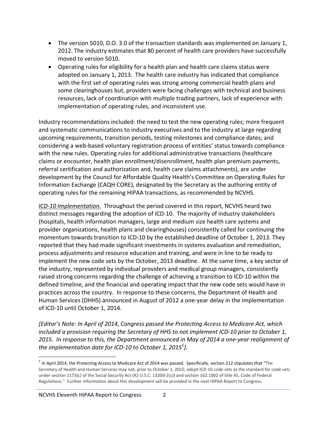- The version 5010, D.O. 3.0 of the transaction standards was implemented on January 1, 2012. The industry estimates that 80 percent of health care providers have successfully moved to version 5010.
- Operating rules for eligibility for a health plan and health care claims status were adopted on January 1, 2013. The health care industry has indicated that compliance with the first set of operating rules was strong among commercial health plans and some clearinghouses but, providers were facing challenges with technical and business resources, lack of coordination with multiple trading partners, lack of experience with implementation of operating rules, and inconsistent use.

Industry recommendations included: the need to test the new operating rules; more frequent and systematic communications to industry executives and to the industry at large regarding upcoming requirements, transition periods, testing milestones and compliance dates; and considering a web‐based voluntary registration process of entities' status towards compliance with the new rules. Operating rules for additional administrative transactions (healthcare claims or encounter, health plan enrollment/disenrollment, health plan premium payments, referral certification and authorization and, health care claims attachments), are under development by the Council for Affordable Quality Health's Committee on Operating Rules for Information Exchange (CAQH CORE), designated by the Secretary as the authoring entity of operating rules for the remaining HIPAA transactions, as recommended by NCVHS.

*ICD‐10 Implementation.* Throughout the period covered in this report, NCVHS heard two distinct messages regarding the adoption of ICD‐10. The majority of industry stakeholders (hospitals, health information managers, large and medium size health care systems and provider organizations, health plans and clearinghouses) consistently called for continuing the momentum towards transition to ICD‐10 by the established deadline of October 1, 2013. They reported that they had made significant investments in systems evaluation and remediation, process adjustments and resource education and training, and were in line to be ready to implement the new code sets by the October, 2013 deadline. At the same time, a key sector of the industry, represented by individual providers and medical group managers, consistently raised strong concerns regarding the challenge of achieving a transition to ICD‐10 within the defined timeline, and the financial and operating impact that the new code sets would have in practices across the country. In response to these concerns, the Department of Health and Human Services (DHHS) announced in August of 2012 a one‐year delay in the implementation of ICD‐10 until October 1, 2014.

*[Editor's Note: In April of 2014, Congress passed the Protecting Access to Medicare Act, which included a provision requiring the Secretary of HHS to not implement ICD‐10 prior to October 1,* 2015. In response to this, the Department announced in May of 2014 a one-year realignment of *the implementation date for ICD‐10 to October 1, 2015<sup>1</sup> ].* 

 $1$  In April 2014, the Protecting Access to Medicare Act of 2014 was passed. Specifically, section 212 stipulates that "The Secretary of Health and Human Services may not, prior to October 1, 2015, adopt ICD‐10 code sets as the standard for code sets under section 1173(c) of the Social Security Act (42 U.S.C. 1320d-2(c)) and section 162.1002 of title 45, Code of Federal Regulations." Further information about this development will be provided in the next HIPAA Report to Congress.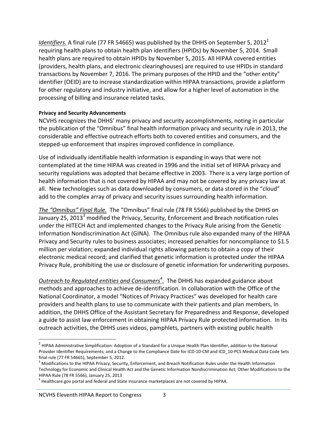*Identifiers.* A final rule (77 FR 54665) was published by the DHHS on September 5, 2012<sup>2</sup> requiring health plans to obtain health plan identifiers (HPIDs) by November 5, 2014. Small health plans are required to obtain HPIDs by November 5, 2015. All HIPAA covered entities (providers, health plans, and electronic clearinghouses) are required to use HPIDs in standard transactions by November 7, 2016. The primary purposes of the HPID and the "other entity" identifier (OEID) are to increase standardization within HIPAA transactions, provide a platform for other regulatory and industry initiative, and allow for a higher level of automation in the processing of billing and insurance related tasks.

#### **Privacy and Security Advancements**

NCVHS recognizes the DHHS' many privacy and security accomplishments, noting in particular the publication of the "Omnibus" final health information privacy and security rule in 2013, the considerable and effective outreach efforts both to covered entities and consumers, and the stepped‐up enforcement that inspires improved confidence in compliance.

Use of individually identifiable health information is expanding in ways that were not contemplated at the time HIPAA was created in 1996 and the initial set of HIPAA privacy and security regulations was adopted that became effective in 2003. There is a very large portion of health information that is not covered by HIPAA and may not be covered by any privacy law at all. New technologies such as data downloaded by consumers, or data stored in the "cloud" add to the complex array of privacy and security issues surrounding health information.

*The "Omnibus" Final Rule.* The "Omnibus" final rule (78 FR 5566) published by the DHHS on January 25, 2013<sup>3</sup> modified the Privacy, Security, Enforcement and Breach notification rules under the HITECH Act and implemented changes to the Privacy Rule arising from the Genetic Information Nondiscrimination Act (GINA). The Omnibus rule also expanded many of the HIPAA Privacy and Security rules to business associates; increased penalties for noncompliance to \$1.5 million per violation; expanded individual rights allowing patients to obtain a copy of their electronic medical record; and clarified that genetic information is protected under the HIPAA Privacy Rule, prohibiting the use or disclosure of genetic information for underwriting purposes.

*Outreach to Regulated entities and Consumers4 .* The DHHS has expanded guidance about methods and approaches to achieve de‐identification. In collaboration with the Office of the National Coordinator, a model "Notices of Privacy Practices" was developed for health care providers and health plans to use to communicate with their patients and plan members, In addition, the DHHS Office of the Assistant Secretary for Preparedness and Response, developed a guide to assist law enforcement in obtaining HIPAA Privacy Rule protected information. In its outreach activities, the DHHS uses videos, pamphlets, partners with existing public health

<sup>&</sup>lt;sup>2</sup> HIPAA Administrative Simplification: Adoption of a Standard for a Unique Health Plan Identifier, addition to the National Provider Identifier Requirements; and a Change to the Compliance Date for ICD‐10‐CM and ICD\_10‐PCS Medical Data Code Sets final rule (77 FR 54665), September 5, 2012.<br><sup>3</sup> Modifications to the HIPAA Privacy, Security, Enforcement, and Breach Notification Rules under the Health Information

Technology for Economic and Clinical Health Act and the Genetic Information Nondiscrimination Act; Other Modifications to the HIPAA Rule (78 FR 5566), January 25, 2013<br><sup>4</sup> Healthcare.gov portal and federal and State insurance marketplaces are not covered by HIPAA.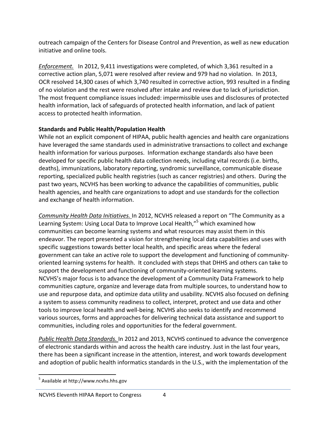outreach campaign of the Centers for Disease Control and Prevention, as well as new education initiative and online tools.

*Enforcement.* In 2012, 9,411 investigations were completed, of which 3,361 resulted in a corrective action plan, 5,071 were resolved after review and 979 had no violation. In 2013, OCR resolved 14,300 cases of which 3,740 resulted in corrective action, 993 resulted in a finding of no violation and the rest were resolved after intake and review due to lack of jurisdiction. The most frequent compliance issues included: impermissible uses and disclosures of protected health information, lack of safeguards of protected health information, and lack of patient access to protected health information.

#### **Standards and Public Health/Population Health**

While not an explicit component of HIPAA, public health agencies and health care organizations have leveraged the same standards used in administrative transactions to collect and exchange health information for various purposes. Information exchange standards also have been developed for specific public health data collection needs, including vital records (i.e. births, deaths), immunizations, laboratory reporting, syndromic surveillance, communicable disease reporting, specialized public health registries (such as cancer registries) and others.During the past two years, NCVHS has been working to advance the capabilities of communities, public health agencies, and health care organizations to adopt and use standards for the collection and exchange of health information.

*Community Health Data Initiatives.* In 2012, NCVHS released a report on "The Community as a Learning System: Using Local Data to Improve Local Health,"<sup>5</sup> which examined how communities can become learning systems and what resources may assist them in this endeavor. The report presented a vision for strengthening local data capabilities and uses with specific suggestions towards better local health, and specific areas where the federal government can take an active role to support the development and functioning of community‐ oriented learning systems for health. It concluded with steps that DHHS and others can take to support the development and functioning of community-oriented learning systems. NCVHS's major focus is to advance the development of a Community Data Framework to help communities capture, organize and leverage data from multiple sources, to understand how to use and repurpose data, and optimize data utility and usability. NCVHS also focused on defining a system to assess community readiness to collect, interpret, protect and use data and other tools to improve local health and well‐being. NCVHS also seeks to identify and recommend various sources, forms and approaches for delivering technical data assistance and support to communities, including roles and opportunities for the federal government.

*Public Health Data Standards.* In 2012 and 2013, NCVHS continued to advance the convergence of electronic standards within and across the health care industry. Just in the last four years, there has been a significant increase in the attention, interest, and work towards development and adoption of public health informatics standards in the U.S., with the implementation of the

 <sup>5</sup> Available at http://www.ncvhs.hhs.gov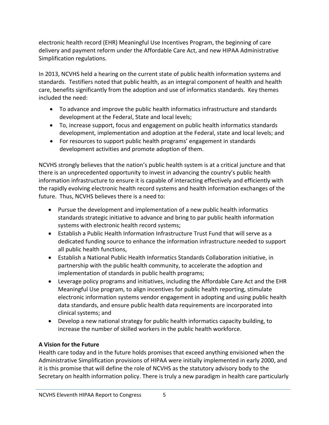electronic health record (EHR) Meaningful Use Incentives Program, the beginning of care delivery and payment reform under the Affordable Care Act, and new HIPAA Administrative Simplification regulations.

In 2013, NCVHS held a hearing on the current state of public health information systems and standards. Testifiers noted that public health, as an integral component of health and health care, benefits significantly from the adoption and use of informatics standards. Key themes included the need:

- To advance and improve the public health informatics infrastructure and standards development at the Federal, State and local levels;
- To, increase support, focus and engagement on public health informatics standards development, implementation and adoption at the Federal, state and local levels; and
- For resources to support public health programs' engagement in standards development activities and promote adoption of them.

NCVHS strongly believes that the nation's public health system is at a critical juncture and that there is an unprecedented opportunity to invest in advancing the country's public health information infrastructure to ensure it is capable of interacting effectively and efficiently with the rapidly evolving electronic health record systems and health information exchanges of the future. Thus, NCVHS believes there is a need to:

- Pursue the development and implementation of a new public health informatics standards strategic initiative to advance and bring to par public health information systems with electronic health record systems;
- Establish a Public Health Information Infrastructure Trust Fund that will serve as a dedicated funding source to enhance the information infrastructure needed to support all public health functions,
- Establish a National Public Health Informatics Standards Collaboration initiative, in partnership with the public health community, to accelerate the adoption and implementation of standards in public health programs;
- Leverage policy programs and initiatives, including the Affordable Care Act and the EHR Meaningful Use program, to align incentives for public health reporting, stimulate electronic information systems vendor engagement in adopting and using public health data standards, and ensure public health data requirements are incorporated into clinical systems; and
- Develop a new national strategy for public health informatics capacity building, to increase the number of skilled workers in the public health workforce.

#### **A Vision for the Future**

Health care today and in the future holds promises that exceed anything envisioned when the Administrative Simplification provisions of HIPAA were initially implemented in early 2000, and it is this promise that will define the role of NCVHS as the statutory advisory body to the Secretary on health information policy. There is truly a new paradigm in health care particularly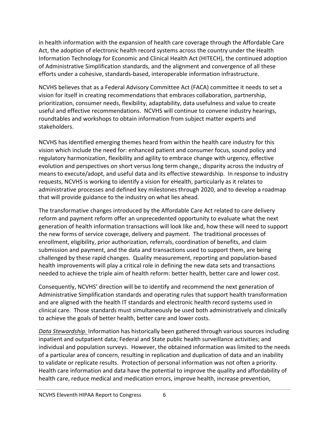in health information with the expansion of health care coverage through the Affordable Care Act, the adoption of electronic health record systems across the country under the Health Information Technology for Economic and Clinical Health Act (HITECH), the continued adoption of Administrative Simplification standards, and the alignment and convergence of all these efforts under a cohesive, standards‐based, interoperable information infrastructure.

NCVHS believes that as a Federal Advisory Committee Act (FACA) committee it needs to set a vision for itself in creating recommendations that embraces collaboration, partnership, prioritization, consumer needs, flexibility, adaptability, data usefulness and value to create useful and effective recommendations. NCVHS will continue to convene industry hearings, roundtables and workshops to obtain information from subject matter experts and stakeholders.

NCVHS has identified emerging themes heard from within the health care industry for this vision which include the need for: enhanced patient and consumer focus, sound policy and regulatory harmonization, flexibility and agility to embrace change with urgency, effective evolution and perspectives on short versus long term change,; disparity across the industry of means to execute/adopt, and useful data and its effective stewardship. In response to industry requests, NCVHS is working to identify a vision for eHealth, particularly as it relates to administrative processes and defined key milestones through 2020, and to develop a roadmap that will provide guidance to the industry on what lies ahead.

The transformative changes introduced by the Affordable Care Act related to care delivery reform and payment reform offer an unprecedented opportunity to evaluate what the next generation of health information transactions will look like and, how these will need to support the new forms of service coverage, delivery and payment. The traditional processes of enrollment, eligibility, prior authorization, referrals, coordination of benefits, and claim submission and payment, and the data and transactions used to support them, are being challenged by these rapid changes. Quality measurement, reporting and population‐based health improvements will play a critical role in defining the new data sets and transactions needed to achieve the triple aim of health reform: better health, better care and lower cost.

Consequently, NCVHS' direction will be to identify and recommend the next generation of Administrative Simplification standards and operating rules that support health transformation and are aligned with the health IT standards and electronic health record systems used in clinical care. Those standards must simultaneously be used both administratively and clinically to achieve the goals of better health, better care and lower costs.

*Data Stewardship.* Information has historically been gathered through various sources including inpatient and outpatient data; Federal and State public health surveillance activities; and individual and population surveys. However, the obtained information was limited to the needs of a particular area of concern, resulting in replication and duplication of data and an inability to validate or replicate results. Protection of personal information was not often a priority. Health care information and data have the potential to improve the quality and affordability of health care, reduce medical and medication errors, improve health, increase prevention,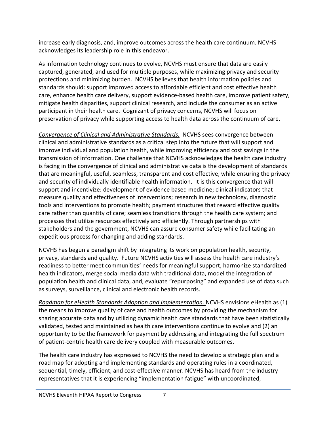increase early diagnosis, and, improve outcomes across the health care continuum. NCVHS acknowledges its leadership role in this endeavor.

As information technology continues to evolve, NCVHS must ensure that data are easily captured, generated, and used for multiple purposes, while maximizing privacy and security protections and minimizing burden. NCVHS believes that health information policies and standards should: support improved access to affordable efficient and cost effective health care, enhance health care delivery, support evidence‐based health care, improve patient safety, mitigate health disparities, support clinical research, and include the consumer as an active participant in their health care. Cognizant of privacy concerns, NCVHS will focus on preservation of privacy while supporting access to health data across the continuum of care.

*Convergence of Clinical and Administrative Standards.* NCVHS sees convergence between clinical and administrative standards as a critical step into the future that will support and improve individual and population health, while improving efficiency and cost savings in the transmission of information. One challenge that NCVHS acknowledges the health care industry is facing in the convergence of clinical and administrative data is the development of standards that are meaningful, useful, seamless, transparent and cost effective, while ensuring the privacy and security of individually identifiable health information. It is this convergence that will support and incentivize: development of evidence based medicine; clinical indicators that measure quality and effectiveness of interventions; research in new technology, diagnostic tools and interventions to promote health; payment structures that reward effective quality care rather than quantity of care; seamless transitions through the health care system; and processes that utilize resources effectively and efficiently. Through partnerships with stakeholders and the government, NCVHS can assure consumer safety while facilitating an expeditious process for changing and adding standards.

NCVHS has begun a paradigm shift by integrating its work on population health, security, privacy, standards and quality. Future NCVHS activities will assess the health care industry's readiness to better meet communities' needs for meaningful support, harmonize standardized health indicators, merge social media data with traditional data, model the integration of population health and clinical data, and, evaluate "repurposing" and expanded use of data such as surveys, surveillance, clinical and electronic health records.

*Roadmap for eHealth Standards Adoption and Implementation.* NCVHS envisions eHealth as (1) the means to improve quality of care and health outcomes by providing the mechanism for sharing accurate data and by utilizing dynamic health care standards that have been statistically validated, tested and maintained as health care interventions continue to evolve and (2) an opportunity to be the framework for payment by addressing and integrating the full spectrum of patient‐centric health care delivery coupled with measurable outcomes.

The health care industry has expressed to NCVHS the need to develop a strategic plan and a road map for adopting and implementing standards and operating rules in a coordinated, sequential, timely, efficient, and cost-effective manner. NCVHS has heard from the industry representatives that it is experiencing "implementation fatigue" with uncoordinated,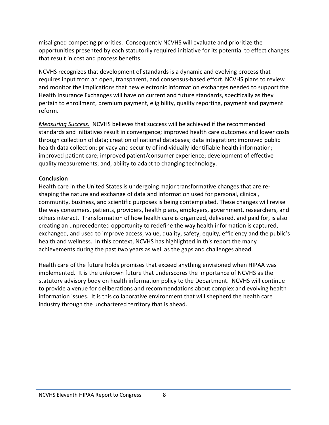misaligned competing priorities. Consequently NCVHS will evaluate and prioritize the opportunities presented by each statutorily required initiative for its potential to effect changes that result in cost and process benefits.

NCVHS recognizes that development of standards is a dynamic and evolving process that requires input from an open, transparent, and consensus‐based effort. NCVHS plans to review and monitor the implications that new electronic information exchanges needed to support the Health Insurance Exchanges will have on current and future standards, specifically as they pertain to enrollment, premium payment, eligibility, quality reporting, payment and payment reform.

*Measuring Success.* NCVHS believes that success will be achieved if the recommended standards and initiatives result in convergence; improved health care outcomes and lower costs through collection of data; creation of national databases; data integration; improved public health data collection; privacy and security of individually identifiable health information; improved patient care; improved patient/consumer experience; development of effective quality measurements; and, ability to adapt to changing technology.

#### **Conclusion**

Health care in the United States is undergoing major transformative changes that are re‐ shaping the nature and exchange of data and information used for personal, clinical, community, business, and scientific purposes is being contemplated. These changes will revise the way consumers, patients, providers, health plans, employers, government, researchers, and others interact. Transformation of how health care is organized, delivered, and paid for, is also creating an unprecedented opportunity to redefine the way health information is captured, exchanged, and used to improve access, value, quality, safety, equity, efficiency and the public's health and wellness. In this context, NCVHS has highlighted in this report the many achievements during the past two years as well as the gaps and challenges ahead.

Health care of the future holds promises that exceed anything envisioned when HIPAA was implemented. It is the unknown future that underscores the importance of NCVHS as the statutory advisory body on health information policy to the Department. NCVHS will continue to provide a venue for deliberations and recommendations about complex and evolving health information issues. It is this collaborative environment that will shepherd the health care industry through the unchartered territory that is ahead.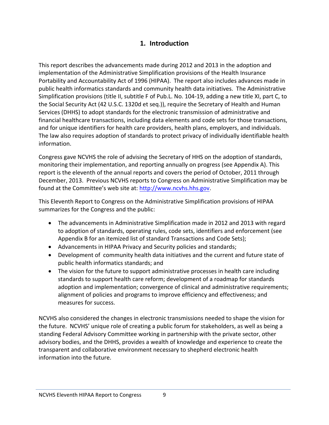## **1. Introduction**

This report describes the advancements made during 2012 and 2013 in the adoption and implementation of the Administrative Simplification provisions of the Health Insurance Portability and Accountability Act of 1996 (HIPAA). The report also includes advances made in public health informatics standards and community health data initiatives. The Administrative Simplification provisions (title II, subtitle F of Pub.L. No. 104‐19, adding a new title XI, part C, to the Social Security Act (42 U.S.C. 1320d et seq.)), require the Secretary of Health and Human Services (DHHS) to adopt standards for the electronic transmission of administrative and financial healthcare transactions, including data elements and code sets for those transactions, and for unique identifiers for health care providers, health plans, employers, and individuals. The law also requires adoption of standards to protect privacy of individually identifiable health information.

Congress gave NCVHS the role of advising the Secretary of HHS on the adoption of standards, monitoring their implementation, and reporting annually on progress (see Appendix A). This report is the eleventh of the annual reports and covers the period of October, 2011 through December, 2013. Previous NCVHS reports to Congress on Administrative Simplification may be found at the Committee's web site at: http://www.ncvhs.hhs.gov.

This Eleventh Report to Congress on the Administrative Simplification provisions of HIPAA summarizes for the Congress and the public:

- The advancements in Administrative Simplification made in 2012 and 2013 with regard to adoption of standards, operating rules, code sets, identifiers and enforcement (see Appendix B for an itemized list of standard Transactions and Code Sets);
- Advancements in HIPAA Privacy and Security policies and standards;
- Development of community health data initiatives and the current and future state of public health informatics standards; and
- The vision for the future to support administrative processes in health care including standards to support health care reform; development of a roadmap for standards adoption and implementation; convergence of clinical and administrative requirements; alignment of policies and programs to improve efficiency and effectiveness; and measures for success.

NCVHS also considered the changes in electronic transmissions needed to shape the vision for the future. NCVHS' unique role of creating a public forum for stakeholders, as well as being a standing Federal Advisory Committee working in partnership with the private sector, other advisory bodies, and the DHHS, provides a wealth of knowledge and experience to create the transparent and collaborative environment necessary to shepherd electronic health information into the future.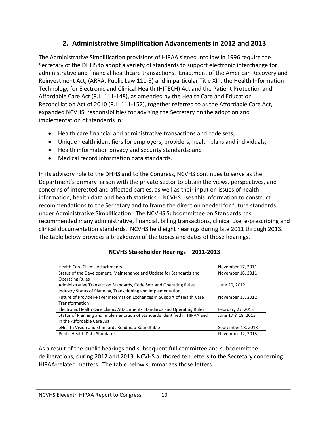# **2. Administrative Simplification Advancements in 2012 and 2013**

The Administrative Simplification provisions of HIPAA signed into law in 1996 require the Secretary of the DHHS to adopt a variety of standards to support electronic interchange for administrative and financial healthcare transactions. Enactment of the American Recovery and Reinvestment Act, (ARRA, Public Law 111‐5) and in particular Title XIII, the Health Information Technology for Electronic and Clinical Health (HITECH) Act and the Patient Protection and Affordable Care Act (P.L. 111‐148), as amended by the Health Care and Education Reconciliation Act of 2010 (P.L. 111‐152), together referred to as the Affordable Care Act, expanded NCVHS' responsibilities for advising the Secretary on the adoption and implementation of standards in:

- Health care financial and administrative transactions and code sets;
- Unique health identifiers for employers, providers, health plans and individuals;
- Health information privacy and security standards; and
- Medical record information data standards.

In its advisory role to the DHHS and to the Congress, NCVHS continues to serve as the Department's primary liaison with the private sector to obtain the views, perspectives, and concerns of interested and affected parties, as well as their input on issues of health information, health data and health statistics. NCVHS uses this information to construct recommendations to the Secretary and to frame the direction needed for future standards under Administrative Simplification. The NCVHS Subcommittee on Standards has recommended many administrative, financial, billing transactions, clinical use, e‐prescribing and clinical documentation standards. NCVHS held eight hearings during late 2011 through 2013. The table below provides a breakdown of the topics and dates of those hearings.

#### **NCVHS Stakeholder Hearings – 2011‐2013**

| <b>Health Care Claims Attachments</b>                                      | November 17, 2011  |
|----------------------------------------------------------------------------|--------------------|
| Status of the Development, Maintenance and Update for Standards and        | November 18, 2011  |
| <b>Operating Rules</b>                                                     |                    |
| Administrative Transaction Standards, Code Sets and Operating Rules,       | June 20, 2012      |
| Industry Status of Planning, Transitioning and Implementation              |                    |
| Future of Provider-Payer Information Exchanges in Support of Health Care   | November 15, 2012  |
| Transformation                                                             |                    |
| Electronic Health Care Claims Attachments Standards and Operating Rules    | February 27, 2013  |
| Status of Planning and Implementation of Standards Identified in HIPAA and | June 17 & 18, 2013 |
| in the Affordable Care Act                                                 |                    |
| eHealth Vision and Standards Roadmap Roundtable                            | September 18, 2013 |
| <b>Public Health Data Standards</b>                                        | November 12, 2013  |

As a result of the public hearings and subsequent full committee and subcommittee deliberations, during 2012 and 2013, NCVHS authored ten letters to the Secretary concerning HIPAA‐related matters. The table below summarizes those letters.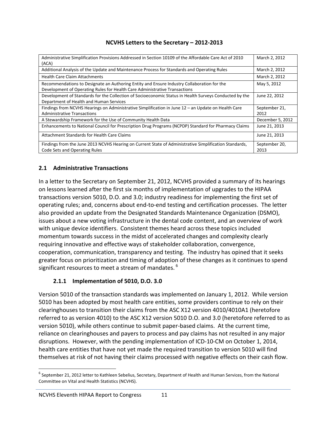#### **NCVHS Letters to the Secretary – 2012‐2013**

| Administrative Simplification Provisions Addressed in Section 10109 of the Affordable Care Act of 2010<br>(ACA)                                                          | March 2, 2012         |
|--------------------------------------------------------------------------------------------------------------------------------------------------------------------------|-----------------------|
| Additional Analysis of the Update and Maintenance Process for Standards and Operating Rules                                                                              | March 2, 2012         |
| <b>Health Care Claim Attachments</b>                                                                                                                                     | March 2, 2012         |
| Recommendations to Designate an Authoring Entity and Ensure Industry Collaboration for the<br>Development of Operating Rules for Health Care Administrative Transactions | May 5, 2012           |
| Development of Standards for the Collection of Socioeconomic Status in Health Surveys Conducted by the<br>Department of Health and Human Services                        | June 22, 2012         |
| Findings from NCVHS Hearings on Administrative Simplification in June $12 -$ an Update on Health Care<br><b>Administrative Transactions</b>                              | September 21,<br>2012 |
| A Stewardship Framework for the Use of Community Health Data                                                                                                             | December 5, 2012      |
| Enhancements to National Council for Prescription Drug Programs (NCPDP) Standard for Pharmacy Claims                                                                     | June 21, 2013         |
| Attachment Standards for Health Care Claims                                                                                                                              | June 21, 2013         |
| Findings from the June 2013 NCVHS Hearing on Current State of Administrative Simplification Standards,<br>Code Sets and Operating Rules                                  | September 20,<br>2013 |

#### **2.1 Administrative Transactions**

In a letter to the Secretary on September 21, 2012, NCVHS provided a summary of its hearings on lessons learned after the first six months of implementation of upgrades to the HIPAA transactions version 5010, D.O. and 3.0; industry readiness for implementing the first set of operating rules; and, concerns about end‐to‐end testing and certification processes. The letter also provided an update from the Designated Standards Maintenance Organization (DSMO), issues about a new voting infrastructure in the dental code content, and an overview of work with unique device identifiers. Consistent themes heard across these topics included momentum towards success in the midst of accelerated changes and complexity clearly requiring innovative and effective ways of stakeholder collaboration, convergence, cooperation, communication, transparency and testing. The industry has opined that it seeks greater focus on prioritization and timing of adoption of these changes as it continues to spend significant resources to meet a stream of mandates.<sup>6</sup>

#### **2.1.1 Implementation of 5010, D.O. 3.0**

Version 5010 of the transaction standards was implemented on January 1, 2012. While version 5010 has been adopted by most health care entities, some providers continue to rely on their clearinghouses to transition their claims from the ASC X12 version 4010/4010A1 (heretofore referred to as version 4010) to the ASC X12 version 5010 D.O. and 3.0 (heretofore referred to as version 5010), while others continue to submit paper‐based claims. At the current time, reliance on clearinghouses and payers to process and pay claims has not resulted in any major disruptions. However, with the pending implementation of ICD‐10‐CM on October 1, 2014, health care entities that have not yet made the required transition to version 5010 will find themselves at risk of not having their claims processed with negative effects on their cash flow.

 $^6$  September 21, 2012 letter to Kathleen Sebelius, Secretary, Department of Health and Human Services, from the National Committee on Vital and Health Statistics (NCVHS).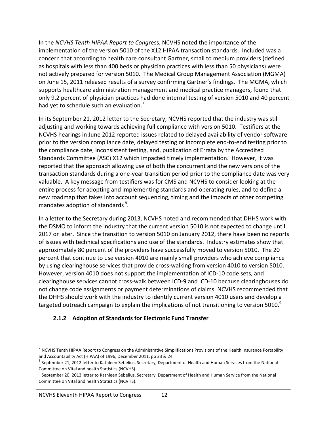In the *NCVHS Tenth HIPAA Report to Cong*ress, NCVHS noted the importance of the implementation of the version 5010 of the X12 HIPAA transaction standards. Included was a concern that according to health care consultant Gartner, small to medium providers (defined as hospitals with less than 400 beds or physician practices with less than 50 physicians) were not actively prepared for version 5010. The Medical Group Management Association (MGMA) on June 15, 2011 released results of a survey confirming Gartner's findings. The MGMA, which supports healthcare administration management and medical practice managers, found that only 9.2 percent of physician practices had done internal testing of version 5010 and 40 percent had yet to schedule such an evaluation.<sup>7</sup>

In its September 21, 2012 letter to the Secretary, NCVHS reported that the industry was still adjusting and working towards achieving full compliance with version 5010. Testifiers at the NCVHS hearings in June 2012 reported issues related to delayed availability of vendor software prior to the version compliance date, delayed testing or incomplete end‐to‐end testing prior to the compliance date, inconsistent testing, and, publication of Errata by the Accredited Standards Committee (ASC) X12 which impacted timely implementation. However, it was reported that the approach allowing use of both the concurrent and the new versions of the transaction standards during a one‐year transition period prior to the compliance date was very valuable. A key message from testifiers was for CMS and NCVHS to consider looking at the entire process for adopting and implementing standards and operating rules, and to define a new roadmap that takes into account sequencing, timing and the impacts of other competing mandates adoption of standards <sup>8</sup>.

In a letter to the Secretary during 2013, NCVHS noted and recommended that DHHS work with the DSMO to inform the industry that the current version 5010 is not expected to change until 2017 or later. Since the transition to version 5010 on January 2012, there have been no reports of issues with technical specifications and use of the standards. Industry estimates show that approximately 80 percent of the providers have successfully moved to version 5010. The 20 percent that continue to use version 4010 are mainly small providers who achieve compliance by using clearinghouse services that provide cross-walking from version 4010 to version 5010. However, version 4010 does not support the implementation of ICD‐10 code sets, and clearinghouse services cannot cross‐walk between ICD‐9 and ICD‐10 because clearinghouses do not change code assignments or payment determinations of claims. NCVHS recommended that the DHHS should work with the industry to identify current version 4010 users and develop a targeted outreach campaign to explain the implications of not transitioning to version 5010. $^9$ 

#### **2.1.2 Adoption of Standards for Electronic Fund Transfer**

 $<sup>7</sup>$  NCVHS Tenth HIPAA Report to Congress on the Administrative Simplifications Provisions of the Health Insurance Portability</sup>

and Accountability Act (HIPAA) of 1996, December 2011, pp 23 & 24.<br><sup>8</sup> September 21, 2012 letter to Kathleen Sebelius, Secretary, Department of Health and Human Services from the National Committee on Vital and health Stat

 $^9$  September 20, 2013 letter to Kathleen Sebelius, Secretary, Department of Health and Human Service from the National Committee on Vital and health Statistics (NCVHS).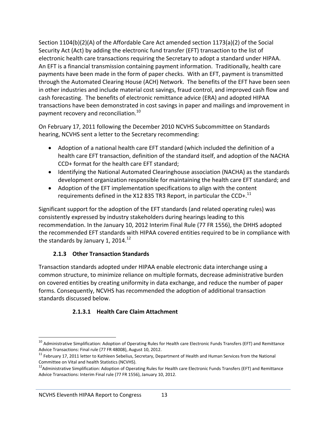Section 1104(b)(2)(A) of the Affordable Care Act amended section 1173(a)(2) of the Social Security Act (Act) by adding the electronic fund transfer (EFT) transaction to the list of electronic health care transactions requiring the Secretary to adopt a standard under HIPAA. An EFT is a financial transmission containing payment information. Traditionally, health care payments have been made in the form of paper checks. With an EFT, payment is transmitted through the Automated Clearing House (ACH) Network. The benefits of the EFT have been seen in other industries and include material cost savings, fraud control, and improved cash flow and cash forecasting. The benefits of electronic remittance advice (ERA) and adopted HIPAA transactions have been demonstrated in cost savings in paper and mailings and improvement in payment recovery and reconciliation.<sup>10</sup>

On February 17, 2011 following the December 2010 NCVHS Subcommittee on Standards hearing, NCVHS sent a letter to the Secretary recommending:

- Adoption of a national health care EFT standard (which included the definition of a health care EFT transaction, definition of the standard itself, and adoption of the NACHA CCD+ format for the health care EFT standard;
- Identifying the National Automated Clearinghouse association (NACHA) as the standards development organization responsible for maintaining the health care EFT standard; and
- Adoption of the EFT implementation specifications to align with the content requirements defined in the X12 835 TR3 Report, in particular the CCD+. $^{11}$

Significant support for the adoption of the EFT standards (and related operating rules) was consistently expressed by industry stakeholders during hearings leading to this recommendation. In the January 10, 2012 Interim Final Rule (77 FR 1556), the DHHS adopted the recommended EFT standards with HIPAA covered entities required to be in compliance with the standards by January 1, 2014. $12$ 

#### **2.1.3 Other Transaction Standards**

Transaction standards adopted under HIPAA enable electronic data interchange using a common structure, to minimize reliance on multiple formats, decrease administrative burden on covered entities by creating uniformity in data exchange, and reduce the number of paper forms. Consequently, NCVHS has recommended the adoption of additional transaction standards discussed below.

## **2.1.3.1 Health Care Claim Attachment**

  $^{10}$  Administrative Simplification: Adoption of Operating Rules for Health care Electronic Funds Transfers (EFT) and Remittance

Advice Transactions: Final rule (77 FR 48008), August 10, 2012.<br><sup>11</sup> February 17, 2011 letter to Kathleen Sebelius, Secretary, Department of Health and Human Services from the National Committee on Vital and health Statistics (NCVHS).<br><sup>12</sup>Administrative Simplification: Adoption of Operating Rules for Health care Electronic Funds Transfers (EFT) and Remittance

Advice Transactions: Interim Final rule (77 FR 1556), January 10, 2012.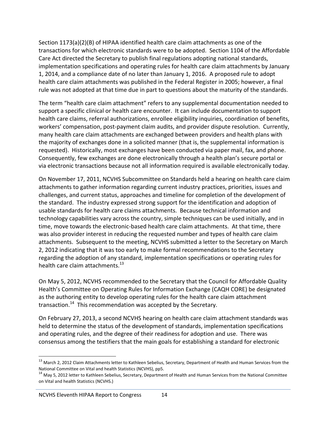Section 1173(a)(2)(B) of HIPAA identified health care claim attachments as one of the transactions for which electronic standards were to be adopted. Section 1104 of the Affordable Care Act directed the Secretary to publish final regulations adopting national standards, implementation specifications and operating rules for health care claim attachments by January 1, 2014, and a compliance date of no later than January 1, 2016. A proposed rule to adopt health care claim attachments was published in the Federal Register in 2005; however, a final rule was not adopted at that time due in part to questions about the maturity of the standards.

The term "health care claim attachment" refers to any supplemental documentation needed to support a specific clinical or health care encounter. It can include documentation to support health care claims, referral authorizations, enrollee eligibility inquiries, coordination of benefits, workers' compensation, post-payment claim audits, and provider dispute resolution. Currently, many health care claim attachments are exchanged between providers and health plans with the majority of exchanges done in a solicited manner (that is, the supplemental information is requested). Historically, most exchanges have been conducted via paper mail, fax, and phone. Consequently, few exchanges are done electronically through a health plan's secure portal or via electronic transactions because not all information required is available electronically today.

On November 17, 2011, NCVHS Subcommittee on Standards held a hearing on health care claim attachments to gather information regarding current industry practices, priorities, issues and challenges, and current status, approaches and timeline for completion of the development of the standard. The industry expressed strong support for the identification and adoption of usable standards for health care claims attachments. Because technical information and technology capabilities vary across the country, simple techniques can be used initially, and in time, move towards the electronic‐based health care claim attachments. At that time, there was also provider interest in reducing the requested number and types of health care claim attachments. Subsequent to the meeting, NCVHS submitted a letter to the Secretary on March 2, 2012 indicating that it was too early to make formal recommendations to the Secretary regarding the adoption of any standard, implementation specifications or operating rules for health care claim attachments.<sup>13</sup>

On May 5, 2012, NCVHS recommended to the Secretary that the Council for Affordable Quality Health's Committee on Operating Rules for Information Exchange (CAQH CORE) be designated as the authoring entity to develop operating rules for the health care claim attachment transaction.<sup>14</sup> This recommendation was accepted by the Secretary.

On February 27, 2013, a second NCVHS hearing on health care claim attachment standards was held to determine the status of the development of standards, implementation specifications and operating rules, and the degree of their readiness for adoption and use. There was consensus among the testifiers that the main goals for establishing a standard for electronic

<sup>&</sup>lt;sup>13</sup> March 2, 2012 Claim Attachments letter to Kathleen Sebelius, Secretary, Department of Health and Human Services from the<br>National Committee on Vital and health Statistics (NCVHS), pp5.

<sup>&</sup>lt;sup>14</sup> May 5, 2012 letter to Kathleen Sebelius, Secretary, Department of Health and Human Services from the National Committee on Vital and health Statistics (NCVHS.)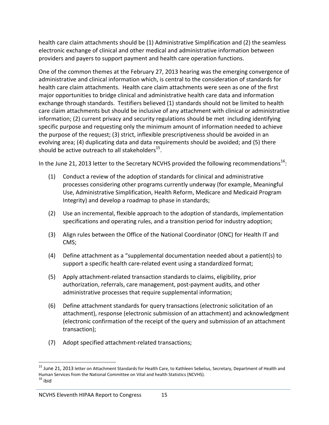health care claim attachments should be (1) Administrative Simplification and (2) the seamless electronic exchange of clinical and other medical and administrative information between providers and payers to support payment and health care operation functions.

One of the common themes at the February 27, 2013 hearing was the emerging convergence of administrative and clinical information which, is central to the consideration of standards for health care claim attachments. Health care claim attachments were seen as one of the first major opportunities to bridge clinical and administrative health care data and information exchange through standards. Testifiers believed (1) standards should not be limited to health care claim attachments but should be inclusive of any attachment with clinical or administrative information; (2) current privacy and security regulations should be met including identifying specific purpose and requesting only the minimum amount of information needed to achieve the purpose of the request; (3) strict, inflexible prescriptiveness should be avoided in an evolving area; (4) duplicating data and data requirements should be avoided; and (5) there should be active outreach to all stakeholders $^{15}$ .

In the June 21, 2013 letter to the Secretary NCVHS provided the following recommendations<sup>16</sup>:

- (1) Conduct a review of the adoption of standards for clinical and administrative processes considering other programs currently underway (for example, Meaningful Use, Administrative Simplification, Health Reform, Medicare and Medicaid Program Integrity) and develop a roadmap to phase in standards;
- (2) Use an incremental, flexible approach to the adoption of standards, implementation specifications and operating rules, and a transition period for industry adoption;
- (3) Align rules between the Office of the National Coordinator (ONC) for Health IT and CMS;
- (4) Define attachment as a "supplemental documentation needed about a patient(s) to support a specific health care‐related event using a standardized format;
- (5) Apply attachment‐related transaction standards to claims, eligibility, prior authorization, referrals, care management, post‐payment audits, and other administrative processes that require supplemental information;
- (6) Define attachment standards for query transactions (electronic solicitation of an attachment), response (electronic submission of an attachment) and acknowledgment (electronic confirmation of the receipt of the query and submission of an attachment transaction);
- (7) Adopt specified attachment‐related transactions;

 <sup>15</sup> June 21, 2013 letter on Attachment Standards for Health Care, to Kathleen Sebelius, Secretary, Department of Health and Human Services from the National Committee on Vital and health Statistics (NCVHS).<br><sup>16</sup> ibid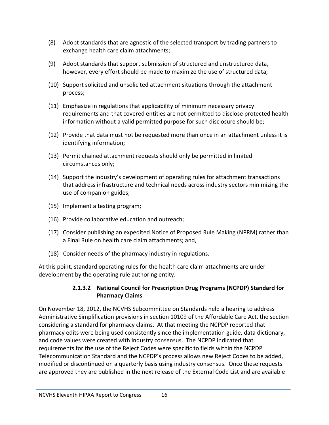- (8) Adopt standards that are agnostic of the selected transport by trading partners to exchange health care claim attachments;
- (9) Adopt standards that support submission of structured and unstructured data, however, every effort should be made to maximize the use of structured data;
- (10) Support solicited and unsolicited attachment situations through the attachment process;
- (11) Emphasize in regulations that applicability of minimum necessary privacy requirements and that covered entities are not permitted to disclose protected health information without a valid permitted purpose for such disclosure should be;
- (12) Provide that data must not be requested more than once in an attachment unless it is identifying information;
- (13) Permit chained attachment requests should only be permitted in limited circumstances only;
- (14) Support the industry's development of operating rules for attachment transactions that address infrastructure and technical needs across industry sectors minimizing the use of companion guides;
- (15) Implement a testing program;
- (16) Provide collaborative education and outreach;
- (17) Consider publishing an expedited Notice of Proposed Rule Making (NPRM) rather than a Final Rule on health care claim attachments; and,
- (18) Consider needs of the pharmacy industry in regulations.

At this point, standard operating rules for the health care claim attachments are under development by the operating rule authoring entity.

#### **2.1.3.2 National Council for Prescription Drug Programs (NCPDP) Standard for Pharmacy Claims**

On November 18, 2012, the NCVHS Subcommittee on Standards held a hearing to address Administrative Simplification provisions in section 10109 of the Affordable Care Act, the section considering a standard for pharmacy claims. At that meeting the NCPDP reported that pharmacy edits were being used consistently since the implementation guide, data dictionary, and code values were created with industry consensus. The NCPDP indicated that requirements for the use of the Reject Codes were specific to fields within the NCPDP Telecommunication Standard and the NCPDP's process allows new Reject Codes to be added, modified or discontinued on a quarterly basis using industry consensus. Once these requests are approved they are published in the next release of the External Code List and are available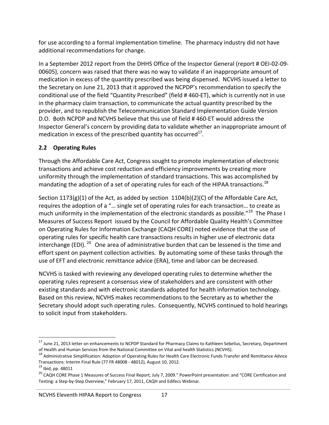for use according to a formal implementation timeline. The pharmacy industry did not have additional recommendations for change.

In a September 2012 report from the DHHS Office of the Inspector General (report # OEI‐02‐09‐ 00605), concern was raised that there was no way to validate if an inappropriate amount of medication in excess of the quantity prescribed was being dispensed. NCVHS issued a letter to the Secretary on June 21, 2013 that it approved the NCPDP's recommendation to specify the conditional use of the field "Quantity Prescribed" (field # 460‐ET), which is currently not in use in the pharmacy claim transaction, to communicate the actual quantity prescribed by the provider, and to republish the Telecommunication Standard Implementation Guide Version D.O. Both NCPDP and NCVHS believe that this use of field # 460‐ET would address the Inspector General's concern by providing data to validate whether an inappropriate amount of medication in excess of the prescribed quantity has occurred $^{17}$ .

#### **2.2 Operating Rules**

Through the Affordable Care Act, Congress sought to promote implementation of electronic transactions and achieve cost reduction and efficiency improvements by creating more uniformity through the implementation of standard transactions. This was accomplished by mandating the adoption of a set of operating rules for each of the HIPAA transactions.<sup>18</sup>

Section 1173(g)(1) of the Act, as added by section 1104(b)(2)(C) of the Affordable Care Act, requires the adoption of a "… single set of operating rules for each transaction… to create as much uniformity in the implementation of the electronic standards as possible."<sup>19</sup> The Phase I Measures of Success Report issued by the Council for Affordable Quality Health's Committee on Operating Rules for Information Exchange (CAQH CORE) noted evidence that the use of operating rules for specific health care transactions results in higher use of electronic data interchange (EDI).  $^{20}$  One area of administrative burden that can be lessened is the time and effort spent on payment collection activities. By automating some of these tasks through the use of EFT and electronic remittance advice (ERA), time and labor can be decreased.

NCVHS is tasked with reviewing any developed operating rules to determine whether the operating rules represent a consensus view of stakeholders and are consistent with other existing standards and with electronic standards adopted for health information technology. Based on this review, NCVHS makes recommendations to the Secretary as to whether the Secretary should adopt such operating rules. Consequently, NCVHS continued to hold hearings to solicit input from stakeholders.

<sup>&</sup>lt;sup>17</sup> June 21, 2013 letter on enhancements to NCPDP Standard for Pharmacy Claims to Kathleen Sebelius, Secretary, Department

of Health and Human Services from the National Committee on Vital and health Statistics (NCVHS).<br><sup>18</sup> Administrative Simplification: Adoption of Operating Rules for Health Care Electronic Funds Transfer and Remittance Advi Transactions: Interim Final Rule (77 FR 48008 - 48012), August 10, 2012.<br><sup>19</sup> Ibid, pp. 48011

<sup>&</sup>lt;sup>20</sup> CAQH CORE Phase 1 Measures of Success Final Report, July 7, 2009." PowerPoint presentation: and "CORE Certification and Testing: a Step‐by‐Step Overview," February 17, 2011, CAQH and Edifecs Webinar.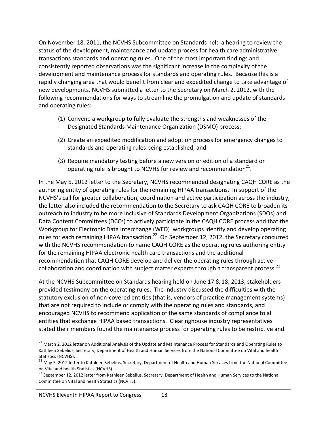On November 18, 2011, the NCVHS Subcommittee on Standards held a hearing to review the status of the development, maintenance and update process for health care administrative transactions standards and operating rules. One of the most important findings and consistently reported observations was the significant increase in the complexity of the development and maintenance process for standards and operating rules. Because this is a rapidly changing area that would benefit from clear and expedited change to take advantage of new developments, NCVHS submitted a letter to the Secretary on March 2, 2012, with the following recommendations for ways to streamline the promulgation and update of standards and operating rules:

- (1) Convene a workgroup to fully evaluate the strengths and weaknesses of the Designated Standards Maintenance Organization (DSMO) process;
- (2) Create an expedited modification and adoption process for emergency changes to standards and operating rules being established; and
- (3) Require mandatory testing before a new version or edition of a standard or operating rule is brought to NCVHS for review and recommendation $^{21}$ .

In the May 5, 2012 letter to the Secretary, NCVHS recommended designating CAQH CORE as the authoring entity of operating rules for the remaining HIPAA transactions. In support of the NCVHS's call for greater collaboration, coordination and active participation across the industry, the letter also included the recommendation to the Secretary to ask CAQH CORE to broaden its outreach to industry to be more inclusive of Standards Development Organizations (SDOs) and Data Content Committees (DCCs) to actively participate in the CAQH CORE process and that the Workgroup for Electronic Data Interchange (WED) workgroups identify and develop operating rules for each remaining HIPAA transaction.<sup>22</sup> On September 12, 2012, the Secretary concurred with the NCVHS recommendation to name CAQH CORE as the operating rules authoring entity for the remaining HIPAA electronic health care transactions and the additional recommendation that CAQH CORE develop and deliver the operating rules through active collaboration and coordination with subject matter experts through a transparent process.<sup>23</sup>

At the NCVHS Subcommittee on Standards hearing held on June 17 & 18, 2013, stakeholders provided testimony on the operating rules. The industry discussed the difficulties with the statutory exclusion of non‐covered entities (that is, vendors of practice management systems) that are not required to include or comply with the operating rules and standards, and encouraged NCVHS to recommend application of the same standards of compliance to all entities that exchange HIPAA based transactions. Clearinghouse industry representatives stated their members found the maintenance process for operating rules to be restrictive and

<sup>&</sup>lt;sup>21</sup> March 2, 2012 letter on Additional Analysis of the Update and Maintenance Process for Standards and Operating Rules to Kathleen Sebelius, Secretary, Department of Health and Human Services from the National Committee on Vital and health

Statistics (NCVHS).<br><sup>22</sup> May 5, 2012 letter to Kathleen Sebelius, Secretary, Department of Health and Human Services from the National Committee<br>on Vital and health Statistics (NCVHS).

<sup>&</sup>lt;sup>23</sup> September 12, 2012 letter from Kathleen Sebelius, Secretary, Department of Health and Human Services to the National Committee on Vital and health Statistics (NCVHS).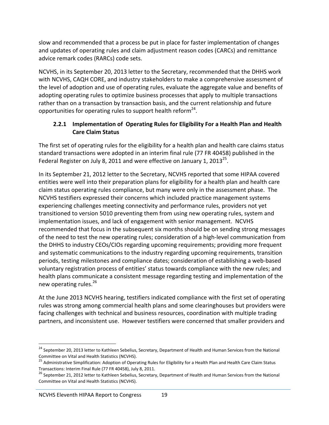slow and recommended that a process be put in place for faster implementation of changes and updates of operating rules and claim adjustment reason codes (CARCs) and remittance advice remark codes (RARCs) code sets.

NCVHS, in its September 20, 2013 letter to the Secretary, recommended that the DHHS work with NCVHS, CAQH CORE, and industry stakeholders to make a comprehensive assessment of the level of adoption and use of operating rules, evaluate the aggregate value and benefits of adopting operating rules to optimize business processes that apply to multiple transactions rather than on a transaction by transaction basis, and the current relationship and future opportunities for operating rules to support health reform $^{24}$ .

#### **2.2.1 Implementation of Operating Rules for Eligibility For a Health Plan and Health Care Claim Status**

The first set of operating rules for the eligibility for a health plan and health care claims status standard transactions were adopted in an interim final rule (77 FR 40458) published in the Federal Register on July 8, 2011 and were effective on January 1, 2013 $^{25}$ .

In its September 21, 2012 letter to the Secretary, NCVHS reported that some HIPAA covered entities were well into their preparation plans for eligibility for a health plan and health care claim status operating rules compliance, but many were only in the assessment phase. The NCVHS testifiers expressed their concerns which included practice management systems experiencing challenges meeting connectivity and performance rules, providers not yet transitioned to version 5010 preventing them from using new operating rules, system and implementation issues, and lack of engagement with senior management. NCVHS recommended that focus in the subsequent six months should be on sending strong messages of the need to test the new operating rules; consideration of a high‐level communication from the DHHS to industry CEOs/CIOs regarding upcoming requirements; providing more frequent and systematic communications to the industry regarding upcoming requirements, transition periods, testing milestones and compliance dates; consideration of establishing a web‐based voluntary registration process of entities' status towards compliance with the new rules; and health plans communicate a consistent message regarding testing and implementation of the new operating rules.<sup>26</sup>

At the June 2013 NCVHS hearing, testifiers indicated compliance with the first set of operating rules was strong among commercial health plans and some clearinghouses but providers were facing challenges with technical and business resources, coordination with multiple trading partners, and inconsistent use. However testifiers were concerned that smaller providers and

<sup>&</sup>lt;sup>24</sup> September 20, 2013 letter to Kathleen Sebelius, Secretary, Department of Health and Human Services from the National<br>Committee on Vital and Health Statistics (NCVHS).

<sup>&</sup>lt;sup>25</sup> Administrative Simplification: Adoption of Operating Rules for Eligibility for a Health Plan and Health Care Claim Status<br>Transactions: Interim Final Rule (77 FR 40458), July 8, 2011.

<sup>&</sup>lt;sup>26</sup> September 21, 2012 letter to Kathleen Sebelius, Secretary, Department of Health and Human Services from the National Committee on Vital and Health Statistics (NCVHS).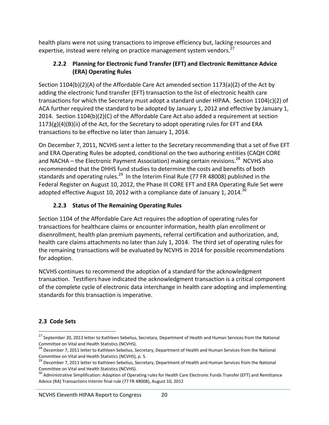health plans were not using transactions to improve efficiency but, lacking resources and expertise, instead were relying on practice management system vendors.<sup>27</sup>

#### **2.2.2 Planning for Electronic Fund Transfer (EFT) and Electronic Remittance Advice (ERA) Operating Rules**

Section 1104(b)(2)(A) of the Affordable Care Act amended section 1173(a)(2) of the Act by adding the electronic fund transfer (EFT) transaction to the list of electronic health care transactions for which the Secretary must adopt a standard under HIPAA. Section 1104(c)(2) of ACA further required the standard to be adopted by January 1, 2012 and effective by January 1, 2014. Section 1104(b)(2)(C) of the Affordable Care Act also added a requirement at section  $1173(g)(4)(B)(ii)$  of the Act, for the Secretary to adopt operating rules for EFT and ERA transactions to be effective no later than January 1, 2014.

On December 7, 2011, NCVHS sent a letter to the Secretary recommending that a set of five EFT and ERA Operating Rules be adopted, conditional on the two authoring entities (CAQH CORE and NACHA – the Electronic Payment Association) making certain revisions.<sup>28</sup> NCVHS also recommended that the DHHS fund studies to determine the costs and benefits of both standards and operating rules.<sup>29</sup> In the Interim Final Rule (77 FR 48008) published in the Federal Register on August 10, 2012, the Phase III CORE EFT and ERA Operating Rule Set were adopted effective August 10, 2012 with a compliance date of January 1, 2014.<sup>30</sup>

## **2.2.3 Status of The Remaining Operating Rules**

Section 1104 of the Affordable Care Act requires the adoption of operating rules for transactions for healthcare claims or encounter information, health plan enrollment or disenrollment, health plan premium payments, referral certification and authorization, and, health care claims attachments no later than July 1, 2014. The third set of operating rules for the remaining transactions will be evaluated by NCVHS in 2014 for possible recommendations for adoption.

NCVHS continues to recommend the adoption of a standard for the acknowledgment transaction. Testifiers have indicated the acknowledgment transaction is a critical component of the complete cycle of electronic data interchange in health care adopting and implementing standards for this transaction is imperative.

#### **2.3 Code Sets**

 <sup>27</sup> September 20, 2013 letter to Kathleen Sebelius, Secretary, Department of Health and Human Services from the National<br>Committee on Vital and Health Statistics (NCVHS).

<sup>&</sup>lt;sup>28</sup> December 7, 2011 letter to Kathleen Sebelius, Secretary, Department of Health and Human Services from the National<br>Committee on Vital and Health Statistics (NCVHS), p. 5.

<sup>&</sup>lt;sup>29</sup> December 7, 2011 letter to Kathleen Sebelius, Secretary, Department of Health and Human Services from the National<br>Committee on Vital and Health Statistics (NCVHS).

<sup>&</sup>lt;sup>30</sup> Administrative Simplification: Adoption of Operating rules for Health Care Electronic Funds Transfer (EFT) and Remittance Advice (RA) Transactions Interim final rule (77 FR 48008), August 10, 2012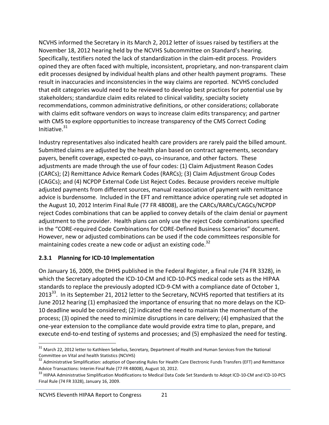NCVHS informed the Secretary in its March 2, 2012 letter of issues raised by testifiers at the November 18, 2012 hearing held by the NCVHS Subcommittee on Standard's hearing. Specifically, testifiers noted the lack of standardization in the claim‐edit process. Providers opined they are often faced with multiple, inconsistent, proprietary, and non‐transparent claim edit processes designed by individual health plans and other health payment programs. These result in inaccuracies and inconsistencies in the way claims are reported. NCVHS concluded that edit categories would need to be reviewed to develop best practices for potential use by stakeholders; standardize claim edits related to clinical validity, specialty society recommendations, common administrative definitions, or other considerations; collaborate with claims edit software vendors on ways to increase claim edits transparency; and partner with CMS to explore opportunities to increase transparency of the CMS Correct Coding Initiative. $31$ 

Industry representatives also indicated health care providers are rarely paid the billed amount. Submitted claims are adjusted by the health plan based on contract agreements, secondary payers, benefit coverage, expected co‐pays, co‐insurance, and other factors. These adjustments are made through the use of four codes: (1) Claim Adjustment Reason Codes (CARCs); (2) Remittance Advice Remark Codes (RARCs); (3) Claim Adjustment Group Codes (CAGCs); and (4) NCPDP External Code List Reject Codes. Because providers receive multiple adjusted payments from different sources, manual reassociation of payment with remittance advice is burdensome. Included in the EFT and remittance advice operating rule set adopted in the August 10, 2012 Interim Final Rule (77 FR 48008), are the CARCs/RARCs/CAGCs/NCPDP reject Codes combinations that can be applied to convey details of the claim denial or payment adjustment to the provider. Health plans can only use the reject Code combinations specified in the "CORE‐required Code Combinations for CORE‐Defined Business Scenarios" document. However, new or adjusted combinations can be used if the code committees responsible for maintaining codes create a new code or adjust an existing code.<sup>32</sup>

#### **2.3.1 Planning for ICD‐10 Implementation**

On January 16, 2009, the DHHS published in the Federal Register, a final rule (74 FR 3328), in which the Secretary adopted the ICD-10-CM and ICD-10-PCS medical code sets as the HIPAA standards to replace the previously adopted ICD‐9‐CM with a compliance date of October 1, 2013<sup>33</sup>. In its September 21, 2012 letter to the Secretary, NCVHS reported that testifiers at its June 2012 hearing (1) emphasized the importance of ensuring that no more delays on the ICD‐ 10 deadline would be considered; (2) indicated the need to maintain the momentum of the process; (3) opined the need to minimize disruptions in care delivery; (4) emphasized that the one‐year extension to the compliance date would provide extra time to plan, prepare, and execute end-to-end testing of systems and processes; and (5) emphasized the need for testing.

  $^{31}$  March 22, 2012 letter to Kathleen Sebelius, Secretary, Department of Health and Human Services from the National Committee on Vital and health Statistics (NCVHS)<br><sup>32</sup> Administrative Simplification: adoption of Operating Rules for Health Care Electronic Funds Transfers (EFT) and Remittance

Advice Transactions: Interim Final Rule (77 FR 48008), August 10, 2012.<br><sup>33</sup> HIPAA Administrative Simplification Modifications to Medical Data Code Set Standards to Adopt ICD-10-CM and ICD-10-PCS Final Rule (74 FR 3328), January 16, 2009.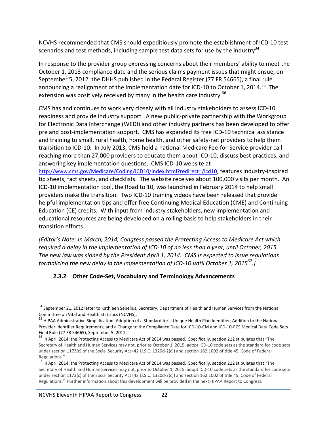NCVHS recommended that CMS should expeditiously promote the establishment of ICD‐10 test scenarios and test methods, including sample test data sets for use by the industry<sup>34</sup>.

In response to the provider group expressing concerns about their members' ability to meet the October 1, 2013 compliance date and the serious claims payment issues that might ensue, on September 5, 2012, the DHHS published in the Federal Register (77 FR 54665), a final rule announcing a realignment of the implementation date for ICD-10 to October 1, 2014.<sup>35</sup> The extension was positively received by many in the health care industry. $36$ 

CMS has and continues to work very closely with all industry stakeholders to assess ICD‐10 readiness and provide industry support. A new public‐private partnership with the Workgroup for Electronic Data Interchange (WEDI) and other industry partners has been developed to offer pre and post‐implementation support. CMS has expanded its free ICD‐10 technical assistance and training to small, rural health, home health, and other safety‐net providers to help them transition to ICD‐10. In July 2013, CMS held a national Medicare Fee‐for‐Service provider call reaching more than 27,000 providers to educate them about ICD‐10, discuss best practices, and answering key implementation questions. CMS ICD‐10 website at

http://www.cms.gov/Medicare/Coding/ICD10/index.html?redirect=/icd10, features industry‐inspired tip sheets, fact sheets, and checklists. The website receives about 100,000 visits per month. An ICD‐10 implementation tool, the Road to 10, was launched in February 2014 to help small providers make the transition. Two ICD‐10 training videos have been released that provide helpful implementation tips and offer free Continuing Medical Education (CME) and Continuing Education (CE) credits. With input from industry stakeholders, new implementation and educational resources are being developed on a rolling basis to help stakeholders in their transition efforts.

*[Editor's Note: In March, 2014, Congress passed the Protecting Access to Medicare Act which* required a delay in the implementation of ICD-10 of no less than a year, until October, 2015. *The new law was signed by the President April 1, 2014. CMS is expected to issue regulations formalizing the new delay in the implementation of ICD‐10 until October 1, 201537.]* 

#### **2.3.2 Other Code‐Set, Vocabulary and Terminology Advancements**

  $34$  September 21, 2012 letter to Kathleen Sebelius, Secretary, Department of Health and Human Services from the National

Committee on Vital and Health Statistics (NCVHS),<br><sup>35</sup> HIPAA Administrative Simplification: Adoption of a Standard for a Unique Health Plan Identifier, Addition to the National Provider Identifier Requirements; and a Change to the Compliance Date for ICD‐10‐CM and ICD‐10‐PCS Medical Data Code Sets Final Rule (77 FR 54665), September 5, 2012.<br><sup>36</sup> In April 2014, the Protecting Access to Medicare Act of 2014 was passed. Specifically, section 212 stipulates that "The

Secretary of Health and Human Services may not, prior to October 1, 2015, adopt ICD-10 code sets as the standard for code sets under section 1173(c) of the Social Security Act (42 U.S.C. 1320d-2(c)) and section 162.1002 of title 45, Code of Federal Regulations."

<sup>&</sup>lt;sup>37</sup> In April 2014, the Protecting Access to Medicare Act of 2014 was passed. Specifically, section 212 stipulates that "The Secretary of Health and Human Services may not, prior to October 1, 2015, adopt ICD‐10 code sets as the standard for code sets under section 1173(c) of the Social Security Act (42 U.S.C. 1320d‐2(c)) and section 162.1002 of title 45, Code of Federal Regulations." Further information about this development will be provided in the next HIPAA Report to Congress.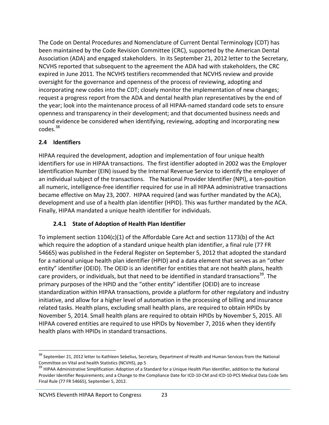The Code on Dental Procedures and Nomenclature of Current Dental Terminology (CDT) has been maintained by the Code Revision Committee (CRC), supported by the American Dental Association (ADA) and engaged stakeholders. In its September 21, 2012 letter to the Secretary, NCVHS reported that subsequent to the agreement the ADA had with stakeholders, the CRC expired in June 2011. The NCVHS testifiers recommended that NCVHS review and provide oversight for the governance and openness of the process of reviewing, adopting and incorporating new codes into the CDT; closely monitor the implementation of new changes; request a progress report from the ADA and dental health plan representatives by the end of the year; look into the maintenance process of all HIPAA‐named standard code sets to ensure openness and transparency in their development; and that documented business needs and sound evidence be considered when identifying, reviewing, adopting and incorporating new codes.38

#### **2.4 Identifiers**

HIPAA required the development, adoption and implementation of four unique health identifiers for use in HIPAA transactions. The first identifier adopted in 2002 was the Employer Identification Number (EIN) issued by the Internal Revenue Service to identify the employer of an individual subject of the transactions. The National Provider Identifier (NPI), a ten-position all numeric, intelligence‐free identifier required for use in all HIPAA administrative transactions became effective on May 23, 2007. HIPAA required (and was further mandated by the ACA), development and use of a health plan identifier (HPID). This was further mandated by the ACA. Finally, HIPAA mandated a unique health identifier for individuals.

#### **2.4.1 State of Adoption of Health Plan Identifier**

To implement section 1104(c)(1) of the Affordable Care Act and section 1173(b) of the Act which require the adoption of a standard unique health plan identifier, a final rule (77 FR 54665) was published in the Federal Register on September 5, 2012 that adopted the standard for a national unique health plan identifier (HPID) and a data element that serves as an "other entity" identifier (OEID). The OEID is an identifier for entities that are not health plans, health care providers, or individuals, but that need to be identified in standard transactions<sup>39</sup>. The primary purposes of the HPID and the "other entity" identifier (OEID) are to increase standardization within HIPAA transactions, provide a platform for other regulatory and industry initiative, and allow for a higher level of automation in the processing of billing and insurance related tasks. Health plans, excluding small health plans, are required to obtain HPIDs by November 5, 2014. Small health plans are required to obtain HPIDs by November 5, 2015. All HIPAA covered entities are required to use HPIDs by November 7, 2016 when they identify health plans with HPIDs in standard transactions.

<sup>&</sup>lt;sup>38</sup> September 21, 2012 letter to Kathleen Sebelius, Secretary, Department of Health and Human Services from the National

Committee on Vital and health Statistics (NCVHS), pp 5<br><sup>39</sup> HIPAA Administrative Simplification: Adoption of a Standard for a Unique Health Plan Identifier, addition to the National Provider Identifier Requirements; and a Change to the Compliance Date for ICD‐10‐CM and ICD‐10‐PCS Medical Data Code Sets Final Rule (77 FR 54665), September 5, 2012.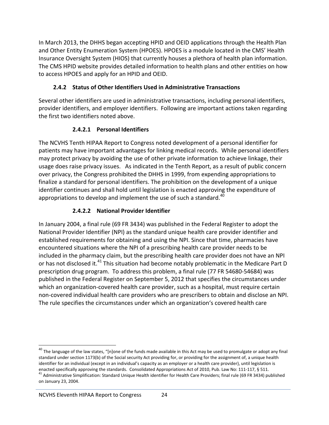In March 2013, the DHHS began accepting HPID and OEID applications through the Health Plan and Other Entity Enumeration System (HPOES). HPOES is a module located in the CMS' Health Insurance Oversight System (HIOS) that currently houses a plethora of health plan information. The CMS HPID website provides detailed information to health plans and other entities on how to access HPOES and apply for an HPID and OEID.

#### **2.4.2 Status of Other Identifiers Used in Administrative Transactions**

Several other identifiers are used in administrative transactions, including personal identifiers, provider identifiers, and employer identifiers. Following are important actions taken regarding the first two identifiers noted above.

#### **2.4.2.1 Personal Identifiers**

The NCVHS Tenth HIPAA Report to Congress noted development of a personal identifier for patients may have important advantages for linking medical records. While personal identifiers may protect privacy by avoiding the use of other private information to achieve linkage, their usage does raise privacy issues. As indicated in the Tenth Report, as a result of public concern over privacy, the Congress prohibited the DHHS in 1999, from expending appropriations to finalize a standard for personal identifiers. The prohibition on the development of a unique identifier continues and shall hold until legislation is enacted approving the expenditure of appropriations to develop and implement the use of such a standard. $40$ 

#### **2.4.2.2 National Provider Identifier**

In January 2004, a final rule (69 FR 3434) was published in the Federal Register to adopt the National Provider Identifier (NPI) as the standard unique health care provider identifier and established requirements for obtaining and using the NPI. Since that time, pharmacies have encountered situations where the NPI of a prescribing health care provider needs to be included in the pharmacy claim, but the prescribing health care provider does not have an NPI or has not disclosed it.<sup>41</sup> This situation had become notably problematic in the Medicare Part D prescription drug program. To address this problem, a final rule (77 FR 54680‐54684) was published in the Federal Register on September 5, 2012 that specifies the circumstances under which an organization‐covered health care provider, such as a hospital, must require certain non‐covered individual health care providers who are prescribers to obtain and disclose an NPI. The rule specifies the circumstances under which an organization's covered health care

<sup>&</sup>lt;sup>40</sup> The language of the law states, "[n]one of the funds made available in this Act may be used to promulgate or adopt any final standard under section 1173(b) of the Social security Act providing for, or providing for the assignment of, a unique health identifier for an individual (except in an individual's capacity as an employer or a health care provider), until legislation is

enacted specifically approving the standards. Consolidated Appropriations Act of 2010, Pub. Law No: 111-117, § 511.<br><sup>41</sup> Administrative Simplification: Standard Unique Health identifier for Health Care Providers; final rul on January 23, 2004.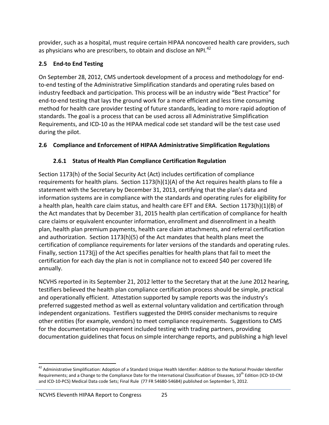provider, such as a hospital, must require certain HIPAA noncovered health care providers, such as physicians who are prescribers, to obtain and disclose an NPI.<sup>42</sup>

### **2.5 End‐to End Testing**

On September 28, 2012, CMS undertook development of a process and methodology for end‐ to-end testing of the Administrative Simplification standards and operating rules based on industry feedback and participation. This process will be an industry wide "Best Practice" for end-to-end testing that lays the ground work for a more efficient and less time consuming method for health care provider testing of future standards, leading to more rapid adoption of standards. The goal is a process that can be used across all Administrative Simplification Requirements, and ICD‐10 as the HIPAA medical code set standard will be the test case used during the pilot.

#### **2.6 Compliance and Enforcement of HIPAA Administrative Simplification Regulations**

## **2.6.1 Status of Health Plan Compliance Certification Regulation**

Section 1173(h) of the Social Security Act (Act) includes certification of compliance requirements for health plans. Section 1173(h)(1)(A) of the Act requires health plans to file a statement with the Secretary by December 31, 2013, certifying that the plan's data and information systems are in compliance with the standards and operating rules for eligibility for a health plan, health care claim status, and health care EFT and ERA. Section 1173(h)(1)(B) of the Act mandates that by December 31, 2015 health plan certification of compliance for health care claims or equivalent encounter information, enrollment and disenrollment in a health plan, health plan premium payments, health care claim attachments, and referral certification and authorization. Section 1173(h)(5) of the Act mandates that health plans meet the certification of compliance requirements for later versions of the standards and operating rules. Finally, section 1173(j) of the Act specifies penalties for health plans that fail to meet the certification for each day the plan is not in compliance not to exceed \$40 per covered life annually.

NCVHS reported in its September 21, 2012 letter to the Secretary that at the June 2012 hearing, testifiers believed the health plan compliance certification process should be simple, practical and operationally efficient. Attestation supported by sample reports was the industry's preferred suggested method as well as external voluntary validation and certification through independent organizations. Testifiers suggested the DHHS consider mechanisms to require other entities (for example, vendors) to meet compliance requirements. Suggestions to CMS for the documentation requirement included testing with trading partners, providing documentation guidelines that focus on simple interchange reports, and publishing a high level

<sup>&</sup>lt;sup>42</sup> Administrative Simplification: Adoption of a Standard Unique Health Identifier: Addition to the National Provider Identifier Requirements; and a Change to the Compliance Date for the International Classification of Diseases, 10<sup>th</sup> Edition (ICD-10-CM and ICD-10-PCS) Medical Data code Sets; Final Rule (77 FR 54680-54684) published on September 5, 2012.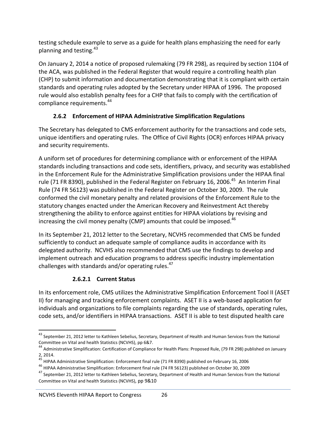testing schedule example to serve as a guide for health plans emphasizing the need for early planning and testing.<sup>43</sup>

On January 2, 2014 a notice of proposed rulemaking (79 FR 298), as required by section 1104 of the ACA, was published in the Federal Register that would require a controlling health plan (CHP) to submit information and documentation demonstrating that it is compliant with certain standards and operating rules adopted by the Secretary under HIPAA of 1996. The proposed rule would also establish penalty fees for a CHP that fails to comply with the certification of compliance requirements.<sup>44</sup>

## **2.6.2 Enforcement of HIPAA Administrative Simplification Regulations**

The Secretary has delegated to CMS enforcement authority for the transactions and code sets, unique identifiers and operating rules. The Office of Civil Rights (OCR) enforces HIPAA privacy and security requirements.

A uniform set of procedures for determining compliance with or enforcement of the HIPAA standards including transactions and code sets, identifiers, privacy, and security was established in the Enforcement Rule for the Administrative Simplification provisions under the HIPAA final rule (71 FR 8390), published in the Federal Register on February 16, 2006.<sup>45</sup> An Interim Final Rule (74 FR 56123) was published in the Federal Register on October 30, 2009. The rule conformed the civil monetary penalty and related provisions of the Enforcement Rule to the statutory changes enacted under the American Recovery and Reinvestment Act thereby strengthening the ability to enforce against entities for HIPAA violations by revising and increasing the civil money penalty (CMP) amounts that could be imposed.<sup>46</sup>

In its September 21, 2012 letter to the Secretary, NCVHS recommended that CMS be funded sufficiently to conduct an adequate sample of compliance audits in accordance with its delegated authority. NCVHS also recommended that CMS use the findings to develop and implement outreach and education programs to address specific industry implementation challenges with standards and/or operating rules.<sup>47</sup>

# **2.6.2.1 Current Status**

In its enforcement role, CMS utilizes the Administrative Simplification Enforcement Tool II (ASET II) for managing and tracking enforcement complaints. ASET II is a web‐based application for individuals and organizations to file complaints regarding the use of standards, operating rules, code sets, and/or identifiers in HIPAA transactions. ASET II is able to test disputed health care

 <sup>43</sup> September 21, 2012 letter to Kathleen Sebelius, Secretary, Department of Health and Human Services from the National<br>Committee on Vital and health Statistics (NCVHS), pp 6&7.

<sup>&</sup>lt;sup>44</sup> Administrative Simplification: Certification of Compliance for Health Plans: Proposed Rule, (79 FR 298) published on January<br>2, 2014.

<sup>2,</sup> 2014. <sup>45</sup> HIPAA Administrative Simplification: Enforcement final rule (71 FR 8390) published on February 16, <sup>2006</sup>

<sup>46</sup> HIPAA Administrative Simplification: Enforcement final rule (74 FR 56123) published on October 30, 2009

<sup>&</sup>lt;sup>47</sup> September 21, 2012 letter to Kathleen Sebelius, Secretary, Department of Health and Human Services from the National Committee on Vital and health Statistics (NCVHS), pp 9&10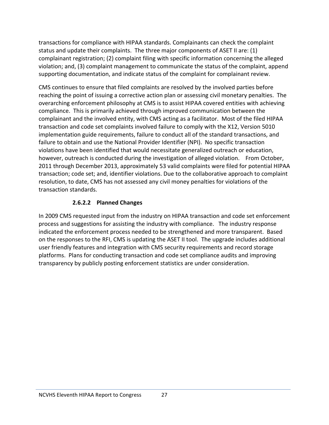transactions for compliance with HIPAA standards. Complainants can check the complaint status and update their complaints. The three major components of ASET II are: (1) complainant registration; (2) complaint filing with specific information concerning the alleged violation; and, (3) complaint management to communicate the status of the complaint, append supporting documentation, and indicate status of the complaint for complainant review.

CMS continues to ensure that filed complaints are resolved by the involved parties before reaching the point of issuing a corrective action plan or assessing civil monetary penalties. The overarching enforcement philosophy at CMS is to assist HIPAA covered entities with achieving compliance. This is primarily achieved through improved communication between the complainant and the involved entity, with CMS acting as a facilitator. Most of the filed HIPAA transaction and code set complaints involved failure to comply with the X12, Version 5010 implementation guide requirements, failure to conduct all of the standard transactions, and failure to obtain and use the National Provider Identifier (NPI). No specific transaction violations have been identified that would necessitate generalized outreach or education, however, outreach is conducted during the investigation of alleged violation. From October, 2011 through December 2013, approximately 53 valid complaints were filed for potential HIPAA transaction; code set; and, identifier violations. Due to the collaborative approach to complaint resolution, to date, CMS has not assessed any civil money penalties for violations of the transaction standards.

#### **2.6.2.2 Planned Changes**

In 2009 CMS requested input from the industry on HIPAA transaction and code set enforcement process and suggestions for assisting the industry with compliance. The industry response indicated the enforcement process needed to be strengthened and more transparent. Based on the responses to the RFI, CMS is updating the ASET II tool. The upgrade includes additional user friendly features and integration with CMS security requirements and record storage platforms. Plans for conducting transaction and code set compliance audits and improving transparency by publicly posting enforcement statistics are under consideration.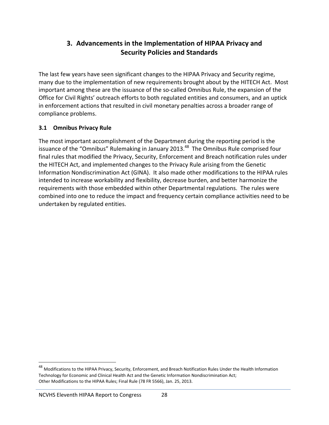## **3. Advancements in the Implementation of HIPAA Privacy and Security Policies and Standards**

The last few years have seen significant changes to the HIPAA Privacy and Security regime, many due to the implementation of new requirements brought about by the HITECH Act. Most important among these are the issuance of the so‐called Omnibus Rule, the expansion of the Office for Civil Rights' outreach efforts to both regulated entities and consumers, and an uptick in enforcement actions that resulted in civil monetary penalties across a broader range of compliance problems.

#### **3.1 Omnibus Privacy Rule**

The most important accomplishment of the Department during the reporting period is the issuance of the "Omnibus" Rulemaking in January 2013.<sup>48</sup> The Omnibus Rule comprised four final rules that modified the Privacy, Security, Enforcement and Breach notification rules under the HITECH Act, and implemented changes to the Privacy Rule arising from the Genetic Information Nondiscrimination Act (GINA). It also made other modifications to the HIPAA rules intended to increase workability and flexibility, decrease burden, and better harmonize the requirements with those embedded within other Departmental regulations. The rules were combined into one to reduce the impact and frequency certain compliance activities need to be undertaken by regulated entities.

<sup>&</sup>lt;sup>48</sup> Modifications to the HIPAA Privacy, Security, Enforcement, and Breach Notification Rules Under the Health Information Technology for Economic and Clinical Health Act and the Genetic Information Nondiscrimination Act; Other Modifications to the HIPAA Rules; Final Rule (78 FR 5566), Jan. 25, 2013.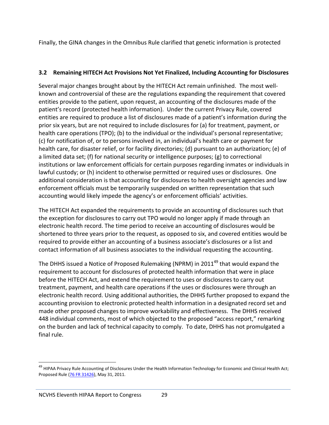Finally, the GINA changes in the Omnibus Rule clarified that genetic information is protected

#### **3.2 Remaining HITECH Act Provisions Not Yet Finalized, Including Accounting for Disclosures**

Several major changes brought about by the HITECH Act remain unfinished. The most well‐ known and controversial of these are the regulations expanding the requirement that covered entities provide to the patient, upon request, an accounting of the disclosures made of the patient's record (protected health information). Under the current Privacy Rule, covered entities are required to produce a list of disclosures made of a patient's information during the prior six years, but are not required to include disclosures for (a) for treatment, payment, or health care operations (TPO); (b) to the individual or the individual's personal representative; (c) for notification of, or to persons involved in, an individual's health care or payment for health care, for disaster relief, or for facility directories; (d) pursuant to an authorization; (e) of a limited data set; (f) for national security or intelligence purposes; (g) to correctional institutions or law enforcement officials for certain purposes regarding inmates or individuals in lawful custody; or (h) incident to otherwise permitted or required uses or disclosures. One additional consideration is that accounting for disclosures to health oversight agencies and law enforcement officials must be temporarily suspended on written representation that such accounting would likely impede the agency's or enforcement officials' activities.

The HITECH Act expanded the requirements to provide an accounting of disclosures such that the exception for disclosures to carry out TPO would no longer apply if made through an electronic health record. The time period to receive an accounting of disclosures would be shortened to three years prior to the request, as opposed to six, and covered entities would be required to provide either an accounting of a business associate's disclosures or a list and contact information of all business associates to the individual requesting the accounting.

The DHHS issued a Notice of Proposed Rulemaking (NPRM) in 2011<sup>49</sup> that would expand the requirement to account for disclosures of protected health information that were in place before the HITECH Act, and extend the requirement to uses or disclosures to carry out treatment, payment, and health care operations if the uses or disclosures were through an electronic health record. Using additional authorities, the DHHS further proposed to expand the accounting provision to electronic protected health information in a designated record set and made other proposed changes to improve workability and effectiveness. The DHHS received 448 individual comments, most of which objected to the proposed "access report," remarking on the burden and lack of technical capacity to comply. To date, DHHS has not promulgated a final rule.

<sup>&</sup>lt;sup>49</sup> HIPAA Privacy Rule Accounting of Disclosures Under the Health Information Technology for Economic and Clinical Health Act; Proposed Rule (76 FR 31426), May 31, 2011.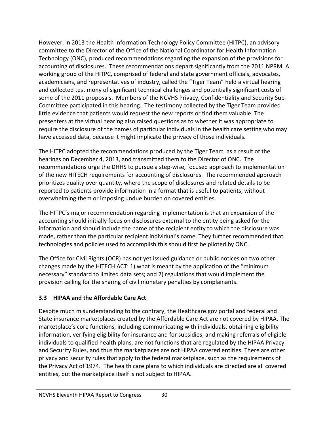However, in 2013 the Health Information Technology Policy Committee (HITPC), an advisory committee to the Director of the Office of the National Coordinator for Health Information Technology (ONC), produced recommendations regarding the expansion of the provisions for accounting of disclosures. These recommendations depart significantly from the 2011 NPRM. A working group of the HITPC, comprised of federal and state government officials, advocates, academicians, and representatives of industry, called the "Tiger Team" held a virtual hearing and collected testimony of significant technical challenges and potentially significant costs of some of the 2011 proposals. Members of the NCVHS Privacy, Confidentiality and Security Sub-Committee participated in this hearing. The testimony collected by the Tiger Team provided little evidence that patients would request the new reports or find them valuable. The presenters at the virtual hearing also raised questions as to whether it was appropriate to require the disclosure of the names of particular individuals in the health care setting who may have accessed data, because it might implicate the privacy of those individuals.

The HITPC adopted the recommendations produced by the Tiger Team as a result of the hearings on December 4, 2013, and transmitted them to the Director of ONC. The recommendations urge the DHHS to pursue a step‐wise, focused approach to implementation of the new HITECH requirements for accounting of disclosures. The recommended approach prioritizes quality over quantity, where the scope of disclosures and related details to be reported to patients provide information in a format that is useful to patients, without overwhelming them or imposing undue burden on covered entities.

The HITPC's major recommendation regarding implementation is that an expansion of the accounting should initially focus on disclosures external to the entity being asked for the information and should include the name of the recipient entity to which the disclosure was made, rather than the particular recipient individual's name. They further recommended that technologies and policies used to accomplish this should first be piloted by ONC.

The Office for Civil Rights (OCR) has not yet issued guidance or public notices on two other changes made by the HITECH ACT: 1) what is meant by the application of the "minimum necessary" standard to limited data sets; and 2) regulations that would implement the provision calling for the sharing of civil monetary penalties by complainants.

#### **3.3 HIPAA and the Affordable Care Act**

Despite much misunderstanding to the contrary, the Healthcare.gov portal and federal and State insurance marketplaces created by the Affordable Care Act are not covered by HIPAA. The marketplace's core functions, including communicating with individuals, obtaining eligibility information, verifying eligibility for insurance and for subsidies, and making referrals of eligible individuals to qualified health plans, are not functions that are regulated by the HIPAA Privacy and Security Rules, and thus the marketplaces are not HIPAA covered entities. There are other privacy and security rules that apply to the federal marketplace, such as the requirements of the Privacy Act of 1974. The health care plans to which individuals are directed are all covered entities, but the marketplace itself is not subject to HIPAA.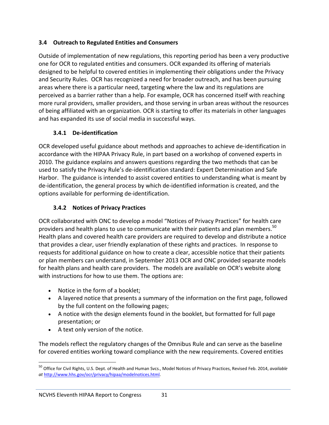#### **3.4 Outreach to Regulated Entities and Consumers**

Outside of implementation of new regulations, this reporting period has been a very productive one for OCR to regulated entities and consumers. OCR expanded its offering of materials designed to be helpful to covered entities in implementing their obligations under the Privacy and Security Rules. OCR has recognized a need for broader outreach, and has been pursuing areas where there is a particular need, targeting where the law and its regulations are perceived as a barrier rather than a help. For example, OCR has concerned itself with reaching more rural providers, smaller providers, and those serving in urban areas without the resources of being affiliated with an organization. OCR is starting to offer its materials in other languages and has expanded its use of social media in successful ways.

#### **3.4.1 De‐identification**

OCR developed useful guidance about methods and approaches to achieve de‐identification in accordance with the HIPAA Privacy Rule, in part based on a workshop of convened experts in 2010. The guidance explains and answers questions regarding the two methods that can be used to satisfy the Privacy Rule's de‐identification standard: Expert Determination and Safe Harbor. The guidance is intended to assist covered entities to understanding what is meant by de‐identification, the general process by which de‐identified information is created, and the options available for performing de‐identification.

#### **3.4.2 Notices of Privacy Practices**

OCR collaborated with ONC to develop a model "Notices of Privacy Practices" for health care providers and health plans to use to communicate with their patients and plan members.<sup>50</sup> Health plans and covered health care providers are required to develop and distribute a notice that provides a clear, user friendly explanation of these rights and practices. In response to requests for additional guidance on how to create a clear, accessible notice that their patients or plan members can understand, in September 2013 OCR and ONC provided separate models for health plans and health care providers. The models are available on OCR's website along with instructions for how to use them. The options are:

- Notice in the form of a booklet;
- A layered notice that presents a summary of the information on the first page, followed by the full content on the following pages;
- A notice with the design elements found in the booklet, but formatted for full page presentation; or
- A text only version of the notice.

The models reflect the regulatory changes of the Omnibus Rule and can serve as the baseline for covered entities working toward compliance with the new requirements. Covered entities

 <sup>50</sup> Office for Civil Rights, U.S. Dept. of Health and Human Svcs., Model Notices of Privacy Practices, Revised Feb. 2014, *available at* http://www.hhs.gov/ocr/privacy/hipaa/modelnotices.html.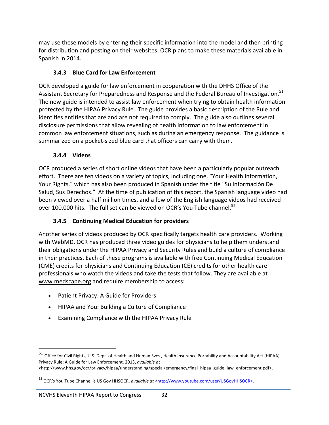may use these models by entering their specific information into the model and then printing for distribution and posting on their websites. OCR plans to make these materials available in Spanish in 2014.

#### **3.4.3 Blue Card for Law Enforcement**

OCR developed a guide for law enforcement in cooperation with the DHHS Office of the Assistant Secretary for Preparedness and Response and the Federal Bureau of Investigation.<sup>51</sup> The new guide is intended to assist law enforcement when trying to obtain health information protected by the HIPAA Privacy Rule. The guide provides a basic description of the Rule and identifies entities that are and are not required to comply. The guide also outlines several disclosure permissions that allow revealing of health information to law enforcement in common law enforcement situations, such as during an emergency response. The guidance is summarized on a pocket‐sized blue card that officers can carry with them.

#### **3.4.4 Videos**

OCR produced a series of short online videos that have been a particularly popular outreach effort. There are ten videos on a variety of topics, including one, "Your Health Information, Your Rights," which has also been produced in Spanish under the title "Su Información De Salud, Sus Derechos." At the time of publication of this report, the Spanish language video had been viewed over a half million times, and a few of the English language videos had received over 100,000 hits. The full set can be viewed on OCR's You Tube channel.<sup>52</sup>

## **3.4.5 Continuing Medical Education for providers**

Another series of videos produced by OCR specifically targets health care providers. Working with WebMD, OCR has produced three video guides for physicians to help them understand their obligations under the HIPAA Privacy and Security Rules and build a culture of compliance in their practices. Each of these programs is available with free Continuing Medical Education (CME) credits for physicians and Continuing Education (CE) credits for other health care professionals who watch the videos and take the tests that follow. They are available at www.medscape.org and require membership to access:

- Patient Privacy: A Guide for Providers
- HIPAA and You: Building a Culture of Compliance
- Examining Compliance with the HIPAA Privacy Rule

<sup>51</sup> Office for Civil Rights, U.S. Dept. of Health and Human Svcs., Health Insurance Portability and Accountability Act (HIPAA) Privacy Rule: A Guide for Law Enforcement, 2013, *available at*

<sup>&</sup>lt;http://www.hhs.gov/ocr/privacy/hipaa/understanding/special/emergency/final\_hipaa\_guide\_law\_enforcement.pdf>.

<sup>&</sup>lt;sup>52</sup> OCR's You Tube Channel is US Gov HHSOCR, *available at* <http://www.youtube.com/user/USGovHHSOCR>.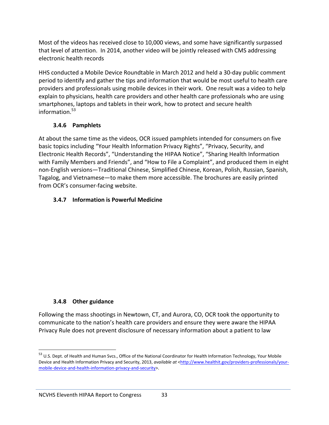Most of the videos has received close to 10,000 views, and some have significantly surpassed that level of attention. In 2014, another video will be jointly released with CMS addressing electronic health records

HHS conducted a Mobile Device Roundtable in March 2012 and held a 30‐day public comment period to identify and gather the tips and information that would be most useful to health care providers and professionals using mobile devices in their work. One result was a video to help explain to physicians, health care providers and other health care professionals who are using smartphones, laptops and tablets in their work, how to protect and secure health information. $53$ 

#### **3.4.6 Pamphlets**

At about the same time as the videos, OCR issued pamphlets intended for consumers on five basic topics including "Your Health Information Privacy Rights", "Privacy, Security, and Electronic Health Records", "Understanding the HIPAA Notice", "Sharing Health Information with Family Members and Friends", and "How to File a Complaint", and produced them in eight non‐English versions—Traditional Chinese, Simplified Chinese, Korean, Polish, Russian, Spanish, Tagalog, and Vietnamese—to make them more accessible. The brochures are easily printed from OCR's consumer-facing website.

## **3.4.7 Information is Powerful Medicine**

#### **3.4.8 Other guidance**

Following the mass shootings in Newtown, CT, and Aurora, CO, OCR took the opportunity to communicate to the nation's health care providers and ensure they were aware the HIPAA Privacy Rule does not prevent disclosure of necessary information about a patient to law

<sup>&</sup>lt;sup>53</sup> U.S. Dept. of Health and Human Svcs., Office of the National Coordinator for Health Information Technology, Your Mobile Device and Health Information Privacy and Security, 2013, *available at* <http://www.healthit.gov/providers-professionals/yourmobile-device-and-health-information-privacy-and-security>.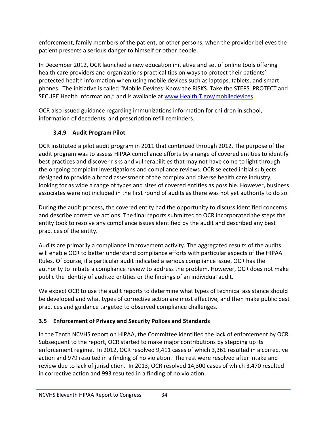enforcement, family members of the patient, or other persons, when the provider believes the patient presents a serious danger to himself or other people.

In December 2012, OCR launched a new education initiative and set of online tools offering health care providers and organizations practical tips on ways to protect their patients' protected health information when using mobile devices such as laptops, tablets, and smart phones. The initiative is called "Mobile Devices: Know the RISKS. Take the STEPS. PROTECT and SECURE Health Information," and is available at www.HealthIT.gov/mobiledevices.

OCR also issued guidance regarding immunizations information for children in school, information of decedents, and prescription refill reminders.

## **3.4.9 Audit Program Pilot**

OCR instituted a pilot audit program in 2011 that continued through 2012. The purpose of the audit program was to assess HIPAA compliance efforts by a range of covered entities to identify best practices and discover risks and vulnerabilities that may not have come to light through the ongoing complaint investigations and compliance reviews. OCR selected initial subjects designed to provide a broad assessment of the complex and diverse health care industry, looking for as wide a range of types and sizes of covered entities as possible. However, business associates were not included in the first round of audits as there was not yet authority to do so.

During the audit process, the covered entity had the opportunity to discuss identified concerns and describe corrective actions. The final reports submitted to OCR incorporated the steps the entity took to resolve any compliance issues identified by the audit and described any best practices of the entity.

Audits are primarily a compliance improvement activity. The aggregated results of the audits will enable OCR to better understand compliance efforts with particular aspects of the HIPAA Rules. Of course, if a particular audit indicated a serious compliance issue, OCR has the authority to initiate a compliance review to address the problem. However, OCR does not make public the identity of audited entities or the findings of an individual audit.

We expect OCR to use the audit reports to determine what types of technical assistance should be developed and what types of corrective action are most effective, and then make public best practices and guidance targeted to observed compliance challenges.

## **3.5 Enforcement of Privacy and Security Polices and Standards**

In the Tenth NCVHS report on HIPAA, the Committee identified the lack of enforcement by OCR. Subsequent to the report, OCR started to make major contributions by stepping up its enforcement regime. In 2012, OCR resolved 9,411 cases of which 3,361 resulted in a corrective action and 979 resulted in a finding of no violation. The rest were resolved after intake and review due to lack of jurisdiction. In 2013, OCR resolved 14,300 cases of which 3,470 resulted in corrective action and 993 resulted in a finding of no violation.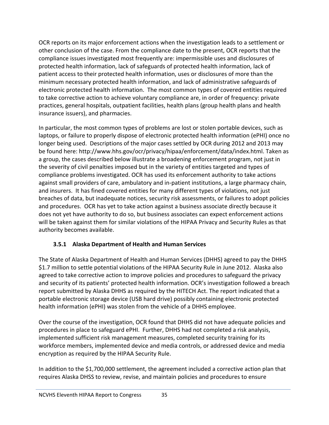OCR reports on its major enforcement actions when the investigation leads to a settlement or other conclusion of the case. From the compliance date to the present, OCR reports that the compliance issues investigated most frequently are: impermissible uses and disclosures of protected health information, lack of safeguards of protected health information, lack of patient access to their protected health information, uses or disclosures of more than the minimum necessary protected health information, and lack of administrative safeguards of electronic protected health information. The most common types of covered entities required to take corrective action to achieve voluntary compliance are, in order of frequency: private practices, general hospitals, outpatient facilities, health plans (group health plans and health insurance issuers), and pharmacies.

In particular, the most common types of problems are lost or stolen portable devices, such as laptops, or failure to properly dispose of electronic protected health information (ePHI) once no longer being used. Descriptions of the major cases settled by OCR during 2012 and 2013 may be found here: http://www.hhs.gov/ocr/privacy/hipaa/enforcement/data/index.html. Taken as a group, the cases described below illustrate a broadening enforcement program, not just in the severity of civil penalties imposed but in the variety of entities targeted and types of compliance problems investigated. OCR has used its enforcement authority to take actions against small providers of care, ambulatory and in‐patient institutions, a large pharmacy chain, and insurers. It has fined covered entities for many different types of violations, not just breaches of data, but inadequate notices, security risk assessments, or failures to adopt policies and procedures. OCR has yet to take action against a business associate directly because it does not yet have authority to do so, but business associates can expect enforcement actions will be taken against them for similar violations of the HIPAA Privacy and Security Rules as that authority becomes available.

#### **3.5.1 Alaska Department of Health and Human Services**

The State of Alaska Department of Health and Human Services (DHHS) agreed to pay the DHHS \$1.7 million to settle potential violations of the HIPAA Security Rule in June 2012. Alaska also agreed to take corrective action to improve policies and procedures to safeguard the privacy and security of its patients' protected health information. OCR's investigation followed a breach report submitted by Alaska DHHS as required by the HITECH Act. The report indicated that a portable electronic storage device (USB hard drive) possibly containing electronic protected health information (ePHI) was stolen from the vehicle of a DHHS employee.

Over the course of the investigation, OCR found that DHHS did not have adequate policies and procedures in place to safeguard ePHI. Further, DHHS had not completed a risk analysis, implemented sufficient risk management measures, completed security training for its workforce members, implemented device and media controls, or addressed device and media encryption as required by the HIPAA Security Rule.

In addition to the \$1,700,000 settlement, the agreement included a corrective action plan that requires Alaska DHSS to review, revise, and maintain policies and procedures to ensure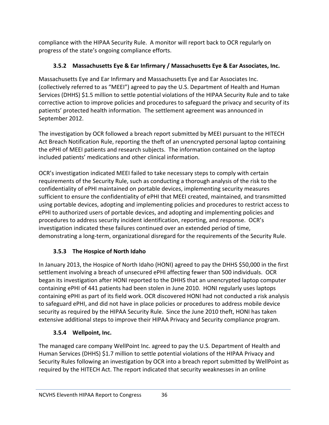compliance with the HIPAA Security Rule. A monitor will report back to OCR regularly on progress of the state's ongoing compliance efforts.

# **3.5.2 Massachusetts Eye & Ear Infirmary / Massachusetts Eye & Ear Associates, Inc.**

Massachusetts Eye and Ear Infirmary and Massachusetts Eye and Ear Associates Inc. (collectively referred to as "MEEI") agreed to pay the U.S. Department of Health and Human Services (DHHS) \$1.5 million to settle potential violations of the HIPAA Security Rule and to take corrective action to improve policies and procedures to safeguard the privacy and security of its patients' protected health information. The settlement agreement was announced in September 2012.

The investigation by OCR followed a breach report submitted by MEEI pursuant to the HITECH Act Breach Notification Rule, reporting the theft of an unencrypted personal laptop containing the ePHI of MEEI patients and research subjects. The information contained on the laptop included patients' medications and other clinical information.

OCR's investigation indicated MEEI failed to take necessary steps to comply with certain requirements of the Security Rule, such as conducting a thorough analysis of the risk to the confidentiality of ePHI maintained on portable devices, implementing security measures sufficient to ensure the confidentiality of ePHI that MEEI created, maintained, and transmitted using portable devices, adopting and implementing policies and procedures to restrict access to ePHI to authorized users of portable devices, and adopting and implementing policies and procedures to address security incident identification, reporting, and response. OCR's investigation indicated these failures continued over an extended period of time, demonstrating a long-term, organizational disregard for the requirements of the Security Rule.

# **3.5.3 The Hospice of North Idaho**

In January 2013, the Hospice of North Idaho (HONI) agreed to pay the DHHS \$50,000 in the first settlement involving a breach of unsecured ePHI affecting fewer than 500 individuals. OCR began its investigation after HONI reported to the DHHS that an unencrypted laptop computer containing ePHI of 441 patients had been stolen in June 2010. HONI regularly uses laptops containing ePHI as part of its field work. OCR discovered HONI had not conducted a risk analysis to safeguard ePHI, and did not have in place policies or procedures to address mobile device security as required by the HIPAA Security Rule. Since the June 2010 theft, HONI has taken extensive additional steps to improve their HIPAA Privacy and Security compliance program.

# **3.5.4 Wellpoint, Inc.**

The managed care company WellPoint Inc. agreed to pay the U.S. Department of Health and Human Services (DHHS) \$1.7 million to settle potential violations of the HIPAA Privacy and Security Rules following an investigation by OCR into a breach report submitted by WellPoint as required by the HITECH Act. The report indicated that security weaknesses in an online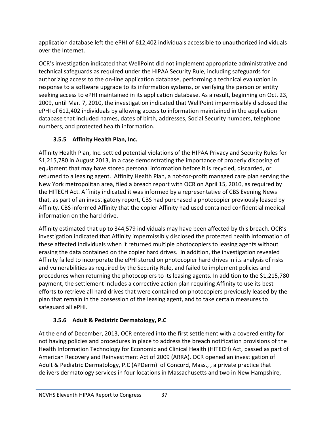application database left the ePHI of 612,402 individuals accessible to unauthorized individuals over the Internet.

OCR's investigation indicated that WellPoint did not implement appropriate administrative and technical safeguards as required under the HIPAA Security Rule, including safeguards for authorizing access to the on-line application database, performing a technical evaluation in response to a software upgrade to its information systems, or verifying the person or entity seeking access to ePHI maintained in its application database. As a result, beginning on Oct. 23, 2009, until Mar. 7, 2010, the investigation indicated that WellPoint impermissibly disclosed the ePHI of 612,402 individuals by allowing access to information maintained in the application database that included names, dates of birth, addresses, Social Security numbers, telephone numbers, and protected health information.

# **3.5.5 Affinity Health Plan, Inc.**

Affinity Health Plan, Inc. settled potential violations of the HIPAA Privacy and Security Rules for \$1,215,780 in August 2013, in a case demonstrating the importance of properly disposing of equipment that may have stored personal information before it is recycled, discarded, or returned to a leasing agent. Affinity Health Plan, a not‐for‐profit managed care plan serving the New York metropolitan area, filed a breach report with OCR on April 15, 2010, as required by the HITECH Act. Affinity indicated it was informed by a representative of CBS Evening News that, as part of an investigatory report, CBS had purchased a photocopier previously leased by Affinity. CBS informed Affinity that the copier Affinity had used contained confidential medical information on the hard drive.

Affinity estimated that up to 344,579 individuals may have been affected by this breach. OCR's investigation indicated that Affinity impermissibly disclosed the protected health information of these affected individuals when it returned multiple photocopiers to leasing agents without erasing the data contained on the copier hard drives. In addition, the investigation revealed Affinity failed to incorporate the ePHI stored on photocopier hard drives in its analysis of risks and vulnerabilities as required by the Security Rule, and failed to implement policies and procedures when returning the photocopiers to its leasing agents. In addition to the \$1,215,780 payment, the settlement includes a corrective action plan requiring Affinity to use its best efforts to retrieve all hard drives that were contained on photocopiers previously leased by the plan that remain in the possession of the leasing agent, and to take certain measures to safeguard all ePHI.

# **3.5.6 Adult & Pediatric Dermatology, P.C**

At the end of December, 2013, OCR entered into the first settlement with a covered entity for not having policies and procedures in place to address the breach notification provisions of the Health Information Technology for Economic and Clinical Health (HITECH) Act, passed as part of American Recovery and Reinvestment Act of 2009 (ARRA). OCR opened an investigation of Adult & Pediatric Dermatology, P.C (APDerm) of Concord, Mass., , a private practice that delivers dermatology services in four locations in Massachusetts and two in New Hampshire,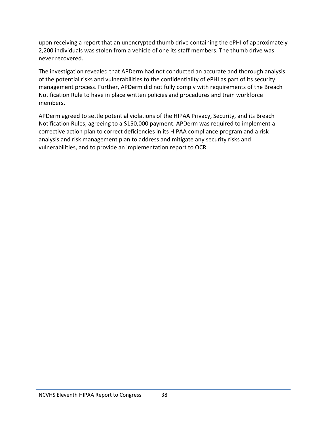upon receiving a report that an unencrypted thumb drive containing the ePHI of approximately 2,200 individuals was stolen from a vehicle of one its staff members. The thumb drive was never recovered.

The investigation revealed that APDerm had not conducted an accurate and thorough analysis of the potential risks and vulnerabilities to the confidentiality of ePHI as part of its security management process. Further, APDerm did not fully comply with requirements of the Breach Notification Rule to have in place written policies and procedures and train workforce members.

APDerm agreed to settle potential violations of the HIPAA Privacy, Security, and its Breach Notification Rules, agreeing to a \$150,000 payment. APDerm was required to implement a corrective action plan to correct deficiencies in its HIPAA compliance program and a risk analysis and risk management plan to address and mitigate any security risks and vulnerabilities, and to provide an implementation report to OCR.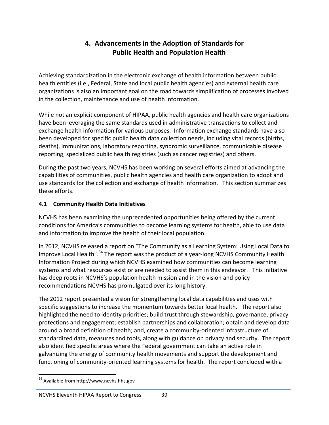## **4. Advancements in the Adoption of Standards for Public Health and Population Health**

Achieving standardization in the electronic exchange of health information between public health entities (i.e., Federal, State and local public health agencies) and external health care organizations is also an important goal on the road towards simplification of processes involved in the collection, maintenance and use of health information.

While not an explicit component of HIPAA, public health agencies and health care organizations have been leveraging the same standards used in administrative transactions to collect and exchange health information for various purposes. Information exchange standards have also been developed for specific public health data collection needs, including vital records (births, deaths), immunizations, laboratory reporting, syndromic surveillance, communicable disease reporting, specialized public health registries (such as cancer registries) and others.

During the past two years, NCVHS has been working on several efforts aimed at advancing the capabilities of communities, public health agencies and health care organization to adopt and use standards for the collection and exchange of health information. This section summarizes these efforts.

#### **4.1 Community Health Data Initiatives**

NCVHS has been examining the unprecedented opportunities being offered by the current conditions for America's communities to become learning systems for health, able to use data and information to improve the health of their local population.

In 2012, NCVHS released a report on "The Community as a Learning System: Using Local Data to Improve Local Health".<sup>54</sup> The report was the product of a year-long NCVHS Community Health Information Project during which NCVHS examined how communities can become learning systems and what resources exist or are needed to assist them in this endeavor. This initiative has deep roots in NCVHS's population health mission and in the vision and policy recommendations NCVHS has promulgated over its long history.

The 2012 report presented a vision for strengthening local data capabilities and uses with specific suggestions to increase the momentum towards better local health. The report also highlighted the need to identity priorities; build trust through stewardship, governance, privacy protections and engagement; establish partnerships and collaboration; obtain and develop data around a broad definition of health; and, create a community‐oriented infrastructure of standardized data, measures and tools, along with guidance on privacy and security. The report also identified specific areas where the Federal government can take an active role in galvanizing the energy of community health movements and support the development and functioning of community-oriented learning systems for health. The report concluded with a

 <sup>54</sup> Available from http://www.ncvhs.hhs.gov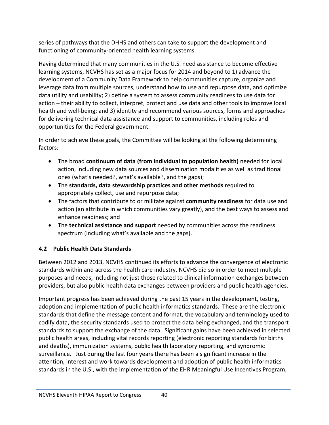series of pathways that the DHHS and others can take to support the development and functioning of community-oriented health learning systems.

Having determined that many communities in the U.S. need assistance to become effective learning systems, NCVHS has set as a major focus for 2014 and beyond to 1) advance the development of a Community Data Framework to help communities capture, organize and leverage data from multiple sources, understand how to use and repurpose data, and optimize data utility and usability; 2) define a system to assess community readiness to use data for action – their ability to collect, interpret, protect and use data and other tools to improve local health and well‐being; and 3) identity and recommend various sources, forms and approaches for delivering technical data assistance and support to communities, including roles and opportunities for the Federal government.

In order to achieve these goals, the Committee will be looking at the following determining factors:

- The broad **continuum of data (from individual to population health)** needed for local action, including new data sources and dissemination modalities as well as traditional ones (what's needed?, what's available?, and the gaps);
- The **standards, data stewardship practices and other methods** required to appropriately collect, use and repurpose data;
- The factors that contribute to or militate against **community readiness** for data use and action (an attribute in which communities vary greatly), and the best ways to assess and enhance readiness; and
- The **technical assistance and support** needed by communities across the readiness spectrum (including what's available and the gaps).

## **4.2 Public Health Data Standards**

Between 2012 and 2013, NCVHS continued its efforts to advance the convergence of electronic standards within and across the health care industry. NCVHS did so in order to meet multiple purposes and needs, including not just those related to clinical information exchanges between providers, but also public health data exchanges between providers and public health agencies.

Important progress has been achieved during the past 15 years in the development, testing, adoption and implementation of public health informatics standards. These are the electronic standards that define the message content and format, the vocabulary and terminology used to codify data, the security standards used to protect the data being exchanged, and the transport standards to support the exchange of the data. Significant gains have been achieved in selected public health areas, including vital records reporting (electronic reporting standards for births and deaths), immunization systems, public health laboratory reporting, and syndromic surveillance. Just during the last four years there has been a significant increase in the attention, interest and work towards development and adoption of public health informatics standards in the U.S., with the implementation of the EHR Meaningful Use Incentives Program,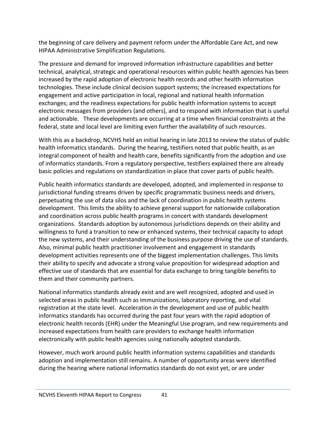the beginning of care delivery and payment reform under the Affordable Care Act, and new HIPAA Administrative Simplification Regulations.

The pressure and demand for improved information infrastructure capabilities and better technical, analytical, strategic and operational resources within public health agencies has been increased by the rapid adoption of electronic health records and other health information technologies. These include clinical decision support systems; the increased expectations for engagement and active participation in local, regional and national health information exchanges; and the readiness expectations for public health information systems to accept electronic messages from providers (and others), and to respond with information that is useful and actionable. These developments are occurring at a time when financial constraints at the federal, state and local level are limiting even further the availability of such resources.

With this as a backdrop, NCVHS held an initial hearing in late 2013 to review the status of public health informatics standards. During the hearing, testifiers noted that public health, as an integral component of health and health care, benefits significantly from the adoption and use of informatics standards. From a regulatory perspective, testifiers explained there are already basic policies and regulations on standardization in place that cover parts of public health.

Public health informatics standards are developed, adopted, and implemented in response to jurisdictional funding streams driven by specific programmatic business needs and drivers, perpetuating the use of data silos and the lack of coordination in public health systems development. This limits the ability to achieve general support for nationwide collaboration and coordination across public health programs in concert with standards development organizations. Standards adoption by autonomous jurisdictions depends on their ability and willingness to fund a transition to new or enhanced systems, their technical capacity to adopt the new systems, and their understanding of the business purpose driving the use of standards. Also, minimal public health practitioner involvement and engagement in standards development activities represents one of the biggest implementation challenges. This limits their ability to specify and advocate a strong value proposition for widespread adoption and effective use of standards that are essential for data exchange to bring tangible benefits to them and their community partners.

National informatics standards already exist and are well recognized, adopted and used in selected areas in public health such as immunizations, laboratory reporting, and vital registration at the state level. Acceleration in the development and use of public health informatics standards has occurred during the past four years with the rapid adoption of electronic health records (EHR) under the Meaningful Use program, and new requirements and increased expectations from health care providers to exchange health information electronically with public health agencies using nationally adopted standards.

However, much work around public health information systems capabilities and standards adoption and implementation still remains. A number of opportunity areas were identified during the hearing where national informatics standards do not exist yet, or are under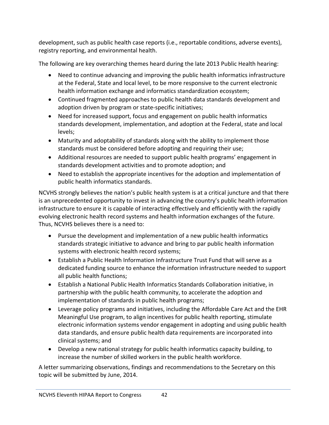development, such as public health case reports (i.e., reportable conditions, adverse events), registry reporting, and environmental health.

The following are key overarching themes heard during the late 2013 Public Health hearing:

- Need to continue advancing and improving the public health informatics infrastructure at the Federal, State and local level, to be more responsive to the current electronic health information exchange and informatics standardization ecosystem;
- Continued fragmented approaches to public health data standards development and adoption driven by program or state‐specific initiatives;
- Need for increased support, focus and engagement on public health informatics standards development, implementation, and adoption at the Federal, state and local levels;
- Maturity and adoptability of standards along with the ability to implement those standards must be considered before adopting and requiring their use;
- Additional resources are needed to support public health programs' engagement in standards development activities and to promote adoption; and
- Need to establish the appropriate incentives for the adoption and implementation of public health informatics standards.

NCVHS strongly believes the nation's public health system is at a critical juncture and that there is an unprecedented opportunity to invest in advancing the country's public health information infrastructure to ensure it is capable of interacting effectively and efficiently with the rapidly evolving electronic health record systems and health information exchanges of the future. Thus, NCVHS believes there is a need to:

- Pursue the development and implementation of a new public health informatics standards strategic initiative to advance and bring to par public health information systems with electronic health record systems;
- Establish a Public Health Information Infrastructure Trust Fund that will serve as a dedicated funding source to enhance the information infrastructure needed to support all public health functions;
- Establish a National Public Health Informatics Standards Collaboration initiative, in partnership with the public health community, to accelerate the adoption and implementation of standards in public health programs;
- Leverage policy programs and initiatives, including the Affordable Care Act and the EHR Meaningful Use program, to align incentives for public health reporting, stimulate electronic information systems vendor engagement in adopting and using public health data standards, and ensure public health data requirements are incorporated into clinical systems; and
- Develop a new national strategy for public health informatics capacity building, to increase the number of skilled workers in the public health workforce.

A letter summarizing observations, findings and recommendations to the Secretary on this topic will be submitted by June, 2014.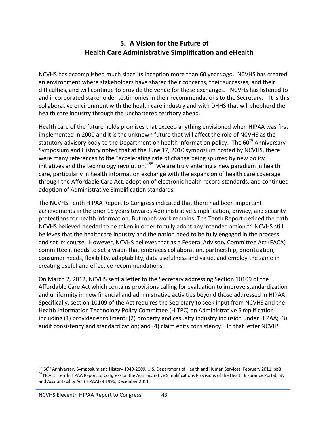## **5. A Vision for the Future of Health Care Administrative Simplification and eHealth**

NCVHS has accomplished much since its inception more than 60 years ago. NCVHS has created an environment where stakeholders have shared their concerns, their successes, and their difficulties, and will continue to provide the venue for these exchanges. NCVHS has listened to and incorporated stakeholder testimonies in their recommendations to the Secretary. It is this collaborative environment with the health care industry and with DHHS that will shepherd the health care industry through the unchartered territory ahead.

Health care of the future holds promises that exceed anything envisioned when HIPAA was first implemented in 2000 and it is the unknown future that will affect the role of NCVHS as the statutory advisory body to the Department on health information policy. The  $60<sup>th</sup>$  Anniversary Symposium and History noted that at the June 17, 2010 symposium hosted by NCVHS, there were many references to the "accelerating rate of change being spurred by new policy initiatives and the technology revolution."<sup>55</sup> We are truly entering a new paradigm in health care, particularly in health information exchange with the expansion of health care coverage through the Affordable Care Act, adoption of electronic health record standards, and continued adoption of Administrative Simplification standards.

The NCVHS Tenth HIPAA Report to Congress indicated that there had been important achievements in the prior 15 years towards Administrative Simplification, privacy, and security protections for health information. But much work remains. The Tenth Report defined the path NCVHS believed needed to be taken in order to fully adopt any intended action.<sup>56</sup> NCVHS still believes that the healthcare industry and the nation need to be fully engaged in the process and set its course. However, NCVHS believes that as a Federal Advisory Committee Act (FACA) committee it needs to set a vision that embraces collaboration, partnership, prioritization, consumer needs, flexibility, adaptability, data usefulness and value, and employ the same in creating useful and effective recommendations.

On March 2, 2012, NCVHS sent a letter to the Secretary addressing Section 10109 of the Affordable Care Act which contains provisions calling for evaluation to improve standardization and uniformity in new financial and administrative activities beyond those addressed in HIPAA. Specifically, section 10109 of the Act requires the Secretary to seek input from NCVHS and the Health Information Technology Policy Committee (HITPC) on Administrative Simplification including (1) provider enrollment; (2) property and casualty industry inclusion under HIPAA; (3) audit consistency and standardization; and (4) claim edits consistency. In that letter NCVHS

<sup>55 60&</sup>lt;sup>th</sup> Anniversary Symposium and History 1949-2009, U.S. Department of Health and Human Services, February 2011, pp3 <sup>56</sup> NCVHS Tenth HIPAA Report to Congress on the Administrative Simplifications Provisions of the Health Insurance Portability and Accountability Act (HIPAA) of 1996, December 2011.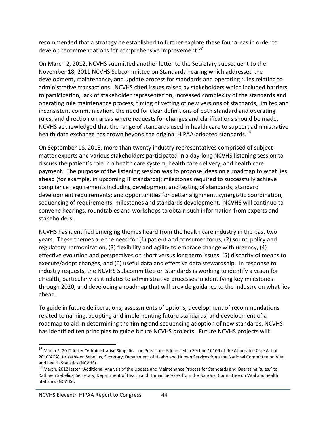recommended that a strategy be established to further explore these four areas in order to develop recommendations for comprehensive improvement.<sup>57</sup>

On March 2, 2012, NCVHS submitted another letter to the Secretary subsequent to the November 18, 2011 NCVHS Subcommittee on Standards hearing which addressed the development, maintenance, and update process for standards and operating rules relating to administrative transactions. NCVHS cited issues raised by stakeholders which included barriers to participation, lack of stakeholder representation, increased complexity of the standards and operating rule maintenance process, timing of vetting of new versions of standards, limited and inconsistent communication, the need for clear definitions of both standard and operating rules, and direction on areas where requests for changes and clarifications should be made. NCVHS acknowledged that the range of standards used in health care to support administrative health data exchange has grown beyond the original HIPAA-adopted standards.<sup>58</sup>

On September 18, 2013, more than twenty industry representatives comprised of subject‐ matter experts and various stakeholders participated in a day‐long NCVHS listening session to discuss the patient's role in a health care system, health care delivery, and health care payment. The purpose of the listening session was to propose ideas on a roadmap to what lies ahead (for example, in upcoming IT standards); milestones required to successfully achieve compliance requirements including development and testing of standards; standard development requirements; and opportunities for better alignment, synergistic coordination, sequencing of requirements, milestones and standards development. NCVHS will continue to convene hearings, roundtables and workshops to obtain such information from experts and stakeholders.

NCVHS has identified emerging themes heard from the health care industry in the past two years. These themes are the need for (1) patient and consumer focus, (2) sound policy and regulatory harmonization, (3) flexibility and agility to embrace change with urgency, (4) effective evolution and perspectives on short versus long term issues, (5) disparity of means to execute/adopt changes, and (6) useful data and effective data stewardship. In response to industry requests, the NCVHS Subcommittee on Standards is working to identify a vision for eHealth, particularly as it relates to administrative processes in identifying key milestones through 2020, and developing a roadmap that will provide guidance to the industry on what lies ahead.

To guide in future deliberations; assessments of options; development of recommendations related to naming, adopting and implementing future standards; and development of a roadmap to aid in determining the timing and sequencing adoption of new standards, NCVHS has identified ten principles to guide future NCVHS projects. Future NCVHS projects will:

<sup>&</sup>lt;sup>57</sup> March 2, 2012 letter "Administrative Simplification Provisions Addressed in Section 10109 of the Affordable Care Act of 2010(ACA), to Kathleen Sebelius, Secretary, Department of Health and Human Services from the National Committee on Vital and health Statistics (NCVHS).<br><sup>58</sup> March, 2012 letter "Additional Analysis of the Update and Maintenance Process for Standards and Operating Rules," to

Kathleen Sebelius, Secretary, Department of Health and Human Services from the National Committee on Vital and health Statistics (NCVHS).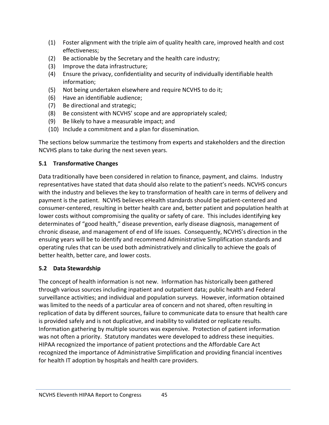- (1) Foster alignment with the triple aim of quality health care, improved health and cost effectiveness;
- (2) Be actionable by the Secretary and the health care industry;
- (3) Improve the data infrastructure;
- (4) Ensure the privacy, confidentiality and security of individually identifiable health information;
- (5) Not being undertaken elsewhere and require NCVHS to do it;
- (6) Have an identifiable audience;
- (7) Be directional and strategic;
- (8) Be consistent with NCVHS' scope and are appropriately scaled;
- (9) Be likely to have a measurable impact; and
- (10) Include a commitment and a plan for dissemination.

The sections below summarize the testimony from experts and stakeholders and the direction NCVHS plans to take during the next seven years.

## **5.1 Transformative Changes**

Data traditionally have been considered in relation to finance, payment, and claims. Industry representatives have stated that data should also relate to the patient's needs. NCVHS concurs with the industry and believes the key to transformation of health care in terms of delivery and payment is the patient. NCVHS believes eHealth standards should be patient-centered and consumer‐centered, resulting in better health care and, better patient and population health at lower costs without compromising the quality or safety of care. This includes identifying key determinates of "good health," disease prevention, early disease diagnosis, management of chronic disease, and management of end of life issues. Consequently, NCVHS's direction in the ensuing years will be to identify and recommend Administrative Simplification standards and operating rules that can be used both administratively and clinically to achieve the goals of better health, better care, and lower costs.

## **5.2 Data Stewardship**

The concept of health information is not new. Information has historically been gathered through various sources including inpatient and outpatient data; public health and Federal surveillance activities; and individual and population surveys. However, information obtained was limited to the needs of a particular area of concern and not shared, often resulting in replication of data by different sources, failure to communicate data to ensure that health care is provided safely and is not duplicative, and inability to validated or replicate results. Information gathering by multiple sources was expensive. Protection of patient information was not often a priority. Statutory mandates were developed to address these inequities. HIPAA recognized the importance of patient protections and the Affordable Care Act recognized the importance of Administrative Simplification and providing financial incentives for health IT adoption by hospitals and health care providers.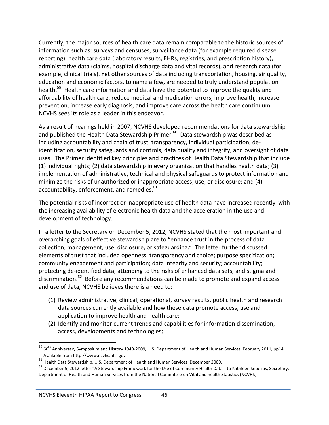Currently, the major sources of health care data remain comparable to the historic sources of information such as: surveys and censuses, surveillance data (for example required disease reporting), health care data (laboratory results, EHRs, registries, and prescription history), administrative data (claims, hospital discharge data and vital records), and research data (for example, clinical trials). Yet other sources of data including transportation, housing, air quality, education and economic factors, to name a few, are needed to truly understand population health.<sup>59</sup> Health care information and data have the potential to improve the quality and affordability of health care, reduce medical and medication errors, improve health, increase prevention, increase early diagnosis, and improve care across the health care continuum. NCVHS sees its role as a leader in this endeavor.

As a result of hearings held in 2007, NCVHS developed recommendations for data stewardship and published the Health Data Stewardship Primer. $60$  Data stewardship was described as including accountability and chain of trust, transparency, individual participation, de‐ identification, security safeguards and controls, data quality and integrity, and oversight of data uses. The Primer identified key principles and practices of Health Data Stewardship that include (1) individual rights; (2) data stewardship in every organization that handles health data; (3) implementation of administrative, technical and physical safeguards to protect information and minimize the risks of unauthorized or inappropriate access, use, or disclosure; and (4) accountability, enforcement, and remedies.<sup>61</sup>

The potential risks of incorrect or inappropriate use of health data have increased recently with the increasing availability of electronic health data and the acceleration in the use and development of technology.

In a letter to the Secretary on December 5, 2012, NCVHS stated that the most important and overarching goals of effective stewardship are to "enhance trust in the process of data collection, management, use, disclosure, or safeguarding." The letter further discussed elements of trust that included openness, transparency and choice; purpose specification; community engagement and participation; data integrity and security; accountability; protecting de‐identified data; attending to the risks of enhanced data sets; and stigma and discrimination.<sup>62</sup> Before any recommendations can be made to promote and expand access and use of data, NCVHS believes there is a need to:

- (1) Review administrative, clinical, operational, survey results, public health and research data sources currently available and how these data promote access, use and application to improve health and health care;
- (2) Identify and monitor current trends and capabilities for information dissemination, access, developments and technologies;

 $^{59}$  60 $^{\rm th}$  Anniversary Symposium and History 1949-2009, U.S. Department of Health and Human Services, February 2011, pp14. <sup>60</sup> Available from http://www.ncvhs.hhs.gov

<sup>61</sup> Health Data Stewardship, U.S. Department of Health and Human Services, December 2009.

<sup>&</sup>lt;sup>62</sup> December 5, 2012 letter "A Stewardship Framework for the Use of Community Health Data," to Kathleen Sebelius, Secretary, Department of Health and Human Services from the National Committee on Vital and health Statistics (NCVHS).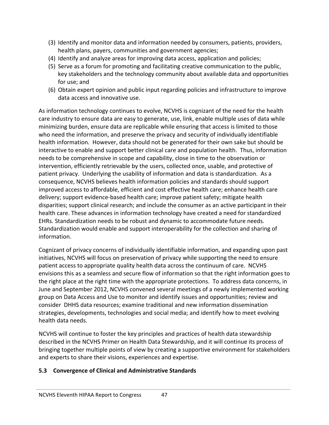- (3) Identify and monitor data and information needed by consumers, patients, providers, health plans, payers, communities and government agencies;
- (4) Identify and analyze areas for improving data access, application and policies;
- (5) Serve as a forum for promoting and facilitating creative communication to the public, key stakeholders and the technology community about available data and opportunities for use; and
- (6) Obtain expert opinion and public input regarding policies and infrastructure to improve data access and innovative use.

As information technology continues to evolve, NCVHS is cognizant of the need for the health care industry to ensure data are easy to generate, use, link, enable multiple uses of data while minimizing burden, ensure data are replicable while ensuring that access is limited to those who need the information, and preserve the privacy and security of individually identifiable health information. However, data should not be generated for their own sake but should be interactive to enable and support better clinical care and population health. Thus, information needs to be comprehensive in scope and capability, close in time to the observation or intervention, efficiently retrievable by the users, collected once, usable, and protective of patient privacy. Underlying the usability of information and data is standardization. As a consequence, NCVHS believes health information policies and standards should support improved access to affordable, efficient and cost effective health care; enhance health care delivery; support evidence‐based health care; improve patient safety; mitigate health disparities; support clinical research; and include the consumer as an active participant in their health care. These advances in information technology have created a need for standardized EHRs. Standardization needs to be robust and dynamic to accommodate future needs. Standardization would enable and support interoperability for the collection and sharing of information.

Cognizant of privacy concerns of individually identifiable information, and expanding upon past initiatives, NCVHS will focus on preservation of privacy while supporting the need to ensure patient access to appropriate quality health data across the continuum of care. NCVHS envisions this as a seamless and secure flow of information so that the right information goes to the right place at the right time with the appropriate protections. To address data concerns, in June and September 2012, NCVHS convened several meetings of a newly implemented working group on Data Access and Use to monitor and identify issues and opportunities; review and consider DHHS data resources; examine traditional and new information dissemination strategies, developments, technologies and social media; and identify how to meet evolving health data needs.

NCVHS will continue to foster the key principles and practices of health data stewardship described in the NCVHS Primer on Health Data Stewardship, and it will continue its process of bringing together multiple points of view by creating a supportive environment for stakeholders and experts to share their visions, experiences and expertise.

#### **5.3 Convergence of Clinical and Administrative Standards**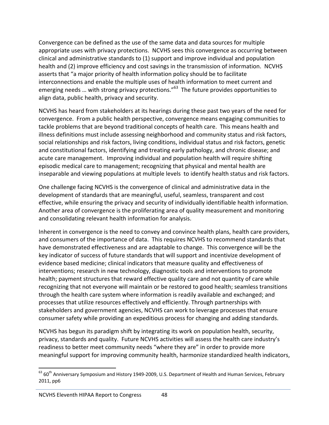Convergence can be defined as the use of the same data and data sources for multiple appropriate uses with privacy protections. NCVHS sees this convergence as occurring between clinical and administrative standards to (1) support and improve individual and population health and (2) improve efficiency and cost savings in the transmission of information. NCVHS asserts that "a major priority of health information policy should be to facilitate interconnections and enable the multiple uses of health information to meet current and emerging needs ... with strong privacy protections."<sup>63</sup> The future provides opportunities to align data, public health, privacy and security.

NCVHS has heard from stakeholders at its hearings during these past two years of the need for convergence. From a public health perspective, convergence means engaging communities to tackle problems that are beyond traditional concepts of health care. This means health and illness definitions must include assessing neighborhood and community status and risk factors, social relationships and risk factors, living conditions, individual status and risk factors, genetic and constitutional factors, identifying and treating early pathology, and chronic disease; and acute care management. Improving individual and population health will require shifting episodic medical care to management; recognizing that physical and mental health are inseparable and viewing populations at multiple levels to identify health status and risk factors.

One challenge facing NCVHS is the convergence of clinical and administrative data in the development of standards that are meaningful, useful, seamless, transparent and cost effective, while ensuring the privacy and security of individually identifiable health information. Another area of convergence is the proliferating area of quality measurement and monitoring and consolidating relevant health information for analysis.

Inherent in convergence is the need to convey and convince health plans, health care providers, and consumers of the importance of data. This requires NCVHS to recommend standards that have demonstrated effectiveness and are adaptable to change. This convergence will be the key indicator of success of future standards that will support and incentivize development of evidence based medicine; clinical indicators that measure quality and effectiveness of interventions; research in new technology, diagnostic tools and interventions to promote health; payment structures that reward effective quality care and not quantity of care while recognizing that not everyone will maintain or be restored to good health; seamless transitions through the health care system where information is readily available and exchanged; and processes that utilize resources effectively and efficiently. Through partnerships with stakeholders and government agencies, NCVHS can work to leverage processes that ensure consumer safety while providing an expeditious process for changing and adding standards.

NCVHS has begun its paradigm shift by integrating its work on population health, security, privacy, standards and quality. Future NCVHS activities will assess the health care industry's readiness to better meet community needs "where they are" in order to provide more meaningful support for improving community health, harmonize standardized health indicators,

<sup>63 60&</sup>lt;sup>th</sup> Anniversary Symposium and History 1949-2009, U.S. Department of Health and Human Services, February 2011, pp6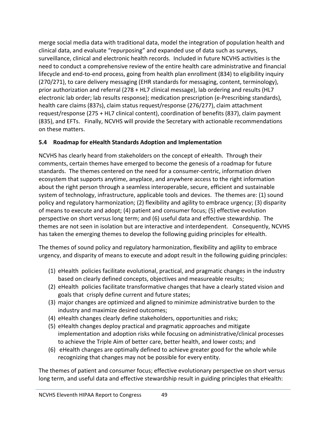merge social media data with traditional data, model the integration of population health and clinical data, and evaluate "repurposing" and expanded use of data such as surveys, surveillance, clinical and electronic health records. Included in future NCVHS activities is the need to conduct a comprehensive review of the entire health care administrative and financial lifecycle and end-to-end process, going from health plan enrollment (834) to eligibility inquiry (270/271), to care delivery messaging (EHR standards for messaging, content, terminology), prior authorization and referral (278 + HL7 clinical message), lab ordering and results (HL7 electronic lab order; lab results response); medication prescription (e‐Prescribing standards), health care claims (837s), claim status request/response (276/277), claim attachment request/response (275 + HL7 clinical content), coordination of benefits (837), claim payment (835), and EFTs. Finally, NCVHS will provide the Secretary with actionable recommendations on these matters.

#### **5.4 Roadmap for eHealth Standards Adoption and Implementation**

NCVHS has clearly heard from stakeholders on the concept of eHealth. Through their comments, certain themes have emerged to become the genesis of a roadmap for future standards. The themes centered on the need for a consumer‐centric, information driven ecosystem that supports anytime, anyplace, and anywhere access to the right information about the right person through a seamless interoperable, secure, efficient and sustainable system of technology, infrastructure, applicable tools and devices. The themes are: (1) sound policy and regulatory harmonization; (2) flexibility and agility to embrace urgency; (3) disparity of means to execute and adopt; (4) patient and consumer focus; (5) effective evolution perspective on short versus long term; and (6) useful data and effective stewardship. The themes are not seen in isolation but are interactive and interdependent. Consequently, NCVHS has taken the emerging themes to develop the following guiding principles for eHealth.

The themes of sound policy and regulatory harmonization, flexibility and agility to embrace urgency, and disparity of means to execute and adopt result in the following guiding principles:

- (1) eHealth policies facilitate evolutional, practical, and pragmatic changes in the industry based on clearly defined concepts, objectives and measureable results;
- (2) eHealth policies facilitate transformative changes that have a clearly stated vision and goals that crisply define current and future states;
- (3) major changes are optimized and aligned to minimize administrative burden to the industry and maximize desired outcomes;
- (4) eHealth changes clearly define stakeholders, opportunities and risks;
- (5) eHealth changes deploy practical and pragmatic approaches and mitigate implementation and adoption risks while focusing on administrative/clinical processes to achieve the Triple Aim of better care, better health, and lower costs; and
- (6) eHealth changes are optimally defined to achieve greater good for the whole while recognizing that changes may not be possible for every entity.

The themes of patient and consumer focus; effective evolutionary perspective on short versus long term, and useful data and effective stewardship result in guiding principles that eHealth: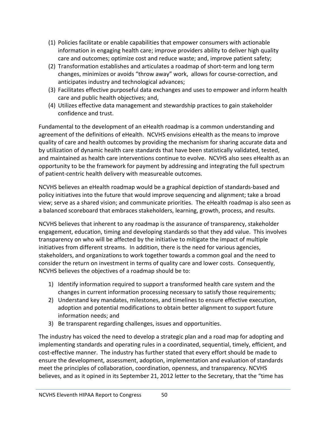- (1) Policies facilitate or enable capabilities that empower consumers with actionable information in engaging health care; improve providers ability to deliver high quality care and outcomes; optimize cost and reduce waste; and, improve patient safety;
- (2) Transformation establishes and articulates a roadmap of short‐term and long term changes, minimizes or avoids "throw away" work, allows for course‐correction, and anticipates industry and technological advances;
- (3) Facilitates effective purposeful data exchanges and uses to empower and inform health care and public health objectives; and,
- (4) Utilizes effective data management and stewardship practices to gain stakeholder confidence and trust.

Fundamental to the development of an eHealth roadmap is a common understanding and agreement of the definitions of eHealth. NCVHS envisions eHealth as the means to improve quality of care and health outcomes by providing the mechanism for sharing accurate data and by utilization of dynamic health care standards that have been statistically validated, tested, and maintained as health care interventions continue to evolve. NCVHS also sees eHealth as an opportunity to be the framework for payment by addressing and integrating the full spectrum of patient-centric health delivery with measureable outcomes.

NCVHS believes an eHealth roadmap would be a graphical depiction of standards‐based and policy initiatives into the future that would improve sequencing and alignment; take a broad view; serve as a shared vision; and communicate priorities. The eHealth roadmap is also seen as a balanced scoreboard that embraces stakeholders, learning, growth, process, and results.

NCVHS believes that inherent to any roadmap is the assurance of transparency, stakeholder engagement, education, timing and developing standards so that they add value. This involves transparency on who will be affected by the initiative to mitigate the impact of multiple initiatives from different streams. In addition, there is the need for various agencies, stakeholders, and organizations to work together towards a common goal and the need to consider the return on investment in terms of quality care and lower costs. Consequently, NCVHS believes the objectives of a roadmap should be to:

- 1) Identify information required to support a transformed health care system and the changes in current information processing necessary to satisfy those requirements;
- 2) Understand key mandates, milestones, and timelines to ensure effective execution, adoption and potential modifications to obtain better alignment to support future information needs; and
- 3) Be transparent regarding challenges, issues and opportunities.

The industry has voiced the need to develop a strategic plan and a road map for adopting and implementing standards and operating rules in a coordinated, sequential, timely, efficient, and cost-effective manner. The industry has further stated that every effort should be made to ensure the development, assessment, adoption, implementation and evaluation of standards meet the principles of collaboration, coordination, openness, and transparency. NCVHS believes, and as it opined in its September 21, 2012 letter to the Secretary, that the "time has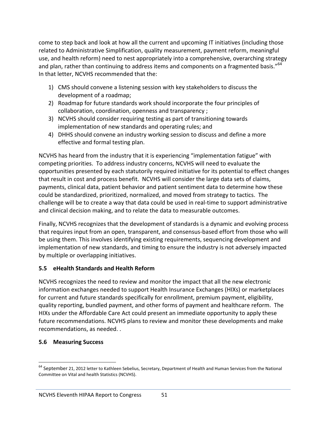come to step back and look at how all the current and upcoming IT initiatives (including those related to Administrative Simplification, quality measurement, payment reform, meaningful use, and health reform) need to nest appropriately into a comprehensive, overarching strategy and plan, rather than continuing to address items and components on a fragmented basis."<sup>64</sup> In that letter, NCVHS recommended that the:

- 1) CMS should convene a listening session with key stakeholders to discuss the development of a roadmap;
- 2) Roadmap for future standards work should incorporate the four principles of collaboration, coordination, openness and transparency ;
- 3) NCVHS should consider requiring testing as part of transitioning towards implementation of new standards and operating rules; and
- 4) DHHS should convene an industry working session to discuss and define a more effective and formal testing plan.

NCVHS has heard from the industry that it is experiencing "implementation fatigue" with competing priorities. To address industry concerns, NCVHS will need to evaluate the opportunities presented by each statutorily required initiative for its potential to effect changes that result in cost and process benefit. NCVHS will consider the large data sets of claims, payments, clinical data, patient behavior and patient sentiment data to determine how these could be standardized, prioritized, normalized, and moved from strategy to tactics. The challenge will be to create a way that data could be used in real‐time to support administrative and clinical decision making, and to relate the data to measurable outcomes.

Finally, NCVHS recognizes that the development of standards is a dynamic and evolving process that requires input from an open, transparent, and consensus‐based effort from those who will be using them. This involves identifying existing requirements, sequencing development and implementation of new standards, and timing to ensure the industry is not adversely impacted by multiple or overlapping initiatives.

#### **5.5 eHealth Standards and Health Reform**

NCVHS recognizes the need to review and monitor the impact that all the new electronic information exchanges needed to support Health Insurance Exchanges (HIXs) or marketplaces for current and future standards specifically for enrollment, premium payment, eligibility, quality reporting, bundled payment, and other forms of payment and healthcare reform. The HIXs under the Affordable Care Act could present an immediate opportunity to apply these future recommendations. NCVHS plans to review and monitor these developments and make recommendations, as needed. .

#### **5.6 Measuring Success**

 $64$  September 21, 2012 letter to Kathleen Sebelius, Secretary, Department of Health and Human Services from the National Committee on Vital and health Statistics (NCVHS).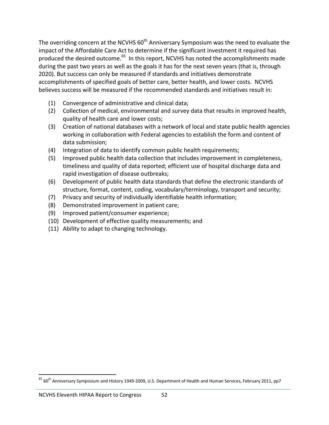The overriding concern at the NCVHS 60<sup>th</sup> Anniversary Symposium was the need to evaluate the impact of the Affordable Care Act to determine if the significant investment it required has produced the desired outcome.<sup>65</sup> In this report, NCVHS has noted the accomplishments made during the past two years as well as the goals it has for the next seven years (that is, through 2020). But success can only be measured if standards and initiatives demonstrate accomplishments of specified goals of better care, better health, and lower costs. NCVHS believes success will be measured if the recommended standards and initiatives result in:

- (1) Convergence of administrative and clinical data;
- (2) Collection of medical, environmental and survey data that results in improved health, quality of health care and lower costs;
- (3) Creation of national databases with a network of local and state public health agencies working in collaboration with Federal agencies to establish the form and content of data submission;
- (4) Integration of data to identify common public health requirements;
- (5) Improved public health data collection that includes improvement in completeness, timeliness and quality of data reported; efficient use of hospital discharge data and rapid investigation of disease outbreaks;
- (6) Development of public health data standards that define the electronic standards of structure, format, content, coding, vocabulary/terminology, transport and security;
- (7) Privacy and security of individually identifiable health information;
- (8) Demonstrated improvement in patient care;
- (9) Improved patient/consumer experience;
- (10) Development of effective quality measurements; and
- (11) Ability to adapt to changing technology.

 $65$  60<sup>th</sup> Anniversary Symposium and History 1949-2009, U.S. Department of Health and Human Services, February 2011, pp7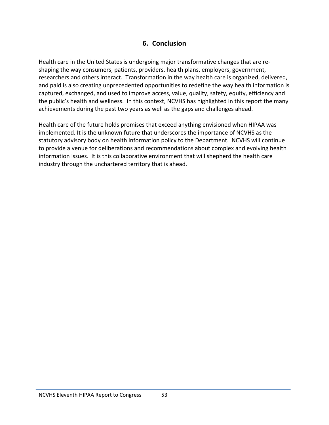### **6. Conclusion**

Health care in the United States is undergoing major transformative changes that are re‐ shaping the way consumers, patients, providers, health plans, employers, government, researchers and others interact. Transformation in the way health care is organized, delivered, and paid is also creating unprecedented opportunities to redefine the way health information is captured, exchanged, and used to improve access, value, quality, safety, equity, efficiency and the public's health and wellness. In this context, NCVHS has highlighted in this report the many achievements during the past two years as well as the gaps and challenges ahead.

Health care of the future holds promises that exceed anything envisioned when HIPAA was implemented. It is the unknown future that underscores the importance of NCVHS as the statutory advisory body on health information policy to the Department. NCVHS will continue to provide a venue for deliberations and recommendations about complex and evolving health information issues. It is this collaborative environment that will shepherd the health care industry through the unchartered territory that is ahead.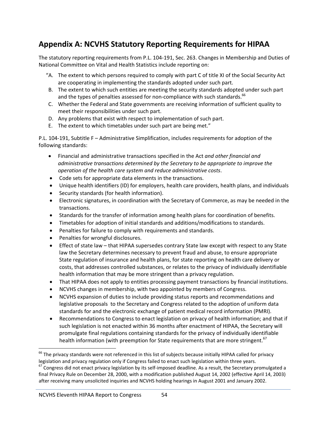# **Appendix A: NCVHS Statutory Reporting Requirements for HIPAA**

The statutory reporting requirements from P.L. 104‐191, Sec. 263. Changes in Membership and Duties of National Committee on Vital and Health Statistics include reporting on:

- "A. The extent to which persons required to comply with part C of title XI of the Social Security Act are cooperating in implementing the standards adopted under such part.
- B. The extent to which such entities are meeting the security standards adopted under such part and the types of penalties assessed for non-compliance with such standards.<sup>66</sup>
- C. Whether the Federal and State governments are receiving information of sufficient quality to meet their responsibilities under such part.
- D. Any problems that exist with respect to implementation of such part.
- E. The extent to which timetables under such part are being met."

P.L. 104‐191, Subtitle F – Administrative Simplification, includes requirements for adoption of the following standards:

- Financial and administrative transactions specified in the Act *and other financial and administrative transactions determined by the Secretary to be appropriate to improve the operation of the health care system and reduce administrative costs*.
- Code sets for appropriate data elements in the transactions.
- Unique health identifiers (ID) for employers, health care providers, health plans, and individuals
- Security standards (for health information).
- Electronic signatures, in coordination with the Secretary of Commerce, as may be needed in the transactions.
- Standards for the transfer of information among health plans for coordination of benefits.
- Timetables for adoption of initial standards and additions/modifications to standards.
- Penalties for failure to comply with requirements and standards.
- Penalties for wrongful disclosures.
- Effect of state law that HIPAA supersedes contrary State law except with respect to any State law the Secretary determines necessary to prevent fraud and abuse, to ensure appropriate State regulation of insurance and health plans, for state reporting on health care delivery or costs, that addresses controlled substances, or relates to the privacy of individually identifiable health information that may be more stringent than a privacy regulation.
- That HIPAA does not apply to entities processing payment transactions by financial institutions.
- NCVHS changes in membership, with two appointed by members of Congress.
- NCVHS expansion of duties to include providing status reports and recommendations and legislative proposals to the Secretary and Congress related to the adoption of uniform data standards for and the electronic exchange of patient medical record information (PMRI).
- Recommendations to Congress to enact legislation on privacy of health information; and that if such legislation is not enacted within 36 months after enactment of HIPAA, the Secretary will promulgate final regulations containing standards for the privacy of individually identifiable health information (with preemption for State requirements that are more stringent.<sup>67</sup>

 $^{66}$  The privacy standards were not referenced in this list of subjects because initially HIPAA called for privacy

legislation and privacy regulation only if Congress failed to enact such legislation within three years.<br><sup>67</sup> Congress did not enact privacy legislation by its self-imposed deadline. As a result, the Secretary promulgated final Privacy Rule on December 28, 2000, with a modification published August 14, 2002 (effective April 14, 2003) after receiving many unsolicited inquiries and NCVHS holding hearings in August 2001 and January 2002.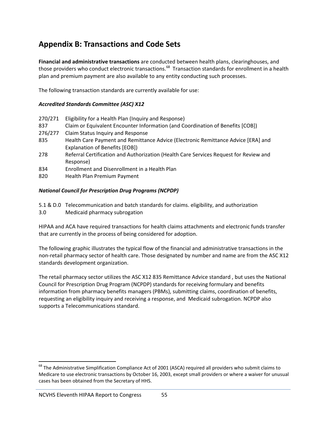# **Appendix B: Transactions and Code Sets**

**Financial and administrative transactions** are conducted between health plans, clearinghouses, and those providers who conduct electronic transactions.<sup>68</sup> Transaction standards for enrollment in a health plan and premium payment are also available to any entity conducting such processes.

The following transaction standards are currently available for use:

#### *Accredited Standards Committee (ASC) X12*

| 270/271              | Eligibility for a Health Plan (Inquiry and Response)                                  |
|----------------------|---------------------------------------------------------------------------------------|
| 837                  | Claim or Equivalent Encounter Information (and Coordination of Benefits [COB])        |
| 276/277              | Claim Status Inquiry and Response                                                     |
| 835                  | Health Care Payment and Remittance Advice (Electronic Remittance Advice [ERA] and     |
|                      | Explanation of Benefits [EOB])                                                        |
| 278                  | Referral Certification and Authorization (Health Care Services Request for Review and |
|                      | Response)                                                                             |
| $\sim$ $\sim$ $\sim$ |                                                                                       |

- 834 Enrollment and Disenrollment in a Health Plan
- 820 Health Plan Premium Payment

#### *National Council for Prescription Drug Programs (NCPDP)*

- 5.1 & D.0 Telecommunication and batch standards for claims. eligibility, and authorization
- 3.0 Medicaid pharmacy subrogation

HIPAA and ACA have required transactions for health claims attachments and electronic funds transfer that are currently in the process of being considered for adoption.

The following graphic illustrates the typical flow of the financial and administrative transactions in the non‐retail pharmacy sector of health care. Those designated by number and name are from the ASC X12 standards development organization.

The retail pharmacy sector utilizes the ASC X12 835 Remittance Advice standard , but uses the National Council for Prescription Drug Program (NCPDP) standards for receiving formulary and benefits information from pharmacy benefits managers (PBMs), submitting claims, coordination of benefits, requesting an eligibility inquiry and receiving a response, and Medicaid subrogation. NCPDP also supports a Telecommunications standard.

 $^{68}$  The Administrative Simplification Compliance Act of 2001 (ASCA) required all providers who submit claims to Medicare to use electronic transactions by October 16, 2003, except small providers or where a waiver for unusual cases has been obtained from the Secretary of HHS.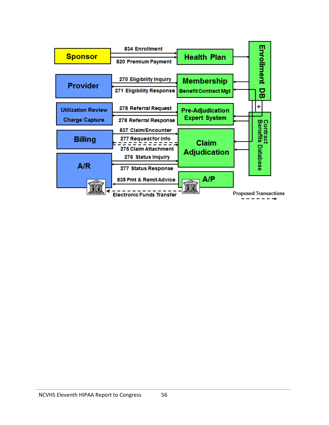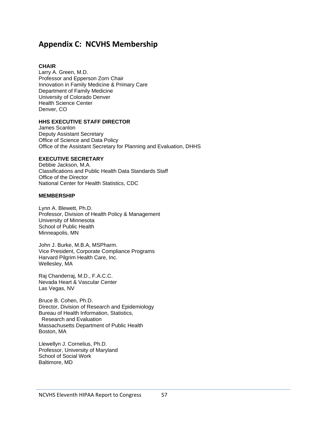# **Appendix C: NCVHS Membership**

#### **CHAIR**

Larry A. Green, M.D. Professor and Epperson Zorn Chair Innovation in Family Medicine & Primary Care Department of Family Medicine University of Colorado Denver Health Science Center Denver, CO

#### **HHS EXECUTIVE STAFF DIRECTOR**

James Scanlon Deputy Assistant Secretary Office of Science and Data Policy Office of the Assistant Secretary for Planning and Evaluation, DHHS

#### **EXECUTIVE SECRETARY**

Debbie Jackson, M.A. Classifications and Public Health Data Standards Staff Office of the Director National Center for Health Statistics, CDC

#### **MEMBERSHIP**

Lynn A. Blewett, Ph.D. Professor, Division of Health Policy & Management University of Minnesota School of Public Health Minneapolis, MN

John J. Burke, M.B.A, MSPharm. Vice President, Corporate Compliance Programs Harvard Pilgrim Health Care, Inc. Wellesley, MA

Raj Chanderraj, M.D., F.A.C.C. Nevada Heart & Vascular Center Las Vegas, NV

Bruce B. Cohen, Ph.D. Director, Division of Research and Epidemiology Bureau of Health Information, Statistics, Research and Evaluation Massachusetts Department of Public Health Boston, MA

Llewellyn J. Cornelius, Ph.D. Professor, University of Maryland School of Social Work Baltimore, MD